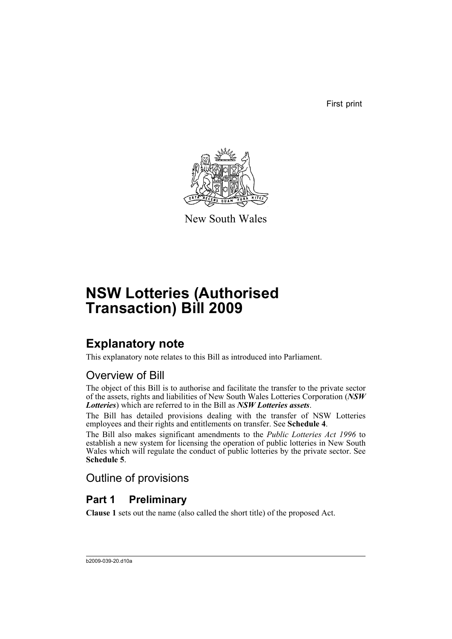First print



New South Wales

# **NSW Lotteries (Authorised Transaction) Bill 2009**

# **Explanatory note**

This explanatory note relates to this Bill as introduced into Parliament.

# Overview of Bill

The object of this Bill is to authorise and facilitate the transfer to the private sector of the assets, rights and liabilities of New South Wales Lotteries Corporation (*NSW Lotteries*) which are referred to in the Bill as *NSW Lotteries assets*.

The Bill has detailed provisions dealing with the transfer of NSW Lotteries employees and their rights and entitlements on transfer. See **Schedule 4**.

The Bill also makes significant amendments to the *Public Lotteries Act 1996* to establish a new system for licensing the operation of public lotteries in New South Wales which will regulate the conduct of public lotteries by the private sector. See **Schedule 5**.

Outline of provisions

# **Part 1 Preliminary**

**Clause 1** sets out the name (also called the short title) of the proposed Act.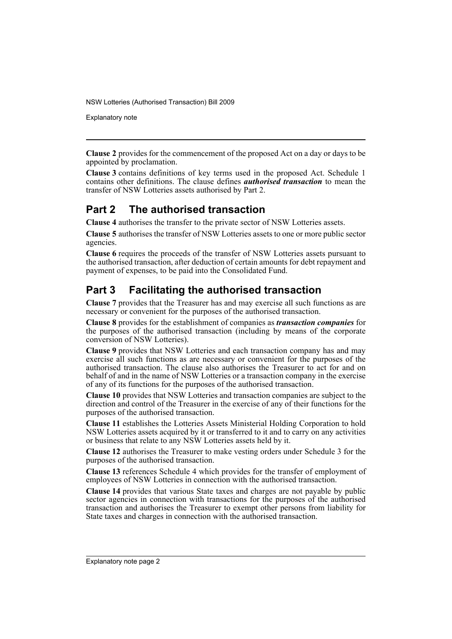Explanatory note

**Clause 2** provides for the commencement of the proposed Act on a day or days to be appointed by proclamation.

**Clause 3** contains definitions of key terms used in the proposed Act. Schedule 1 contains other definitions. The clause defines *authorised transaction* to mean the transfer of NSW Lotteries assets authorised by Part 2.

# **Part 2 The authorised transaction**

**Clause 4** authorises the transfer to the private sector of NSW Lotteries assets.

**Clause 5** authorises the transfer of NSW Lotteries assets to one or more public sector agencies.

**Clause 6** requires the proceeds of the transfer of NSW Lotteries assets pursuant to the authorised transaction, after deduction of certain amounts for debt repayment and payment of expenses, to be paid into the Consolidated Fund.

# **Part 3 Facilitating the authorised transaction**

**Clause 7** provides that the Treasurer has and may exercise all such functions as are necessary or convenient for the purposes of the authorised transaction.

**Clause 8** provides for the establishment of companies as *transaction companies* for the purposes of the authorised transaction (including by means of the corporate conversion of NSW Lotteries).

**Clause 9** provides that NSW Lotteries and each transaction company has and may exercise all such functions as are necessary or convenient for the purposes of the authorised transaction. The clause also authorises the Treasurer to act for and on behalf of and in the name of NSW Lotteries or a transaction company in the exercise of any of its functions for the purposes of the authorised transaction.

**Clause 10** provides that NSW Lotteries and transaction companies are subject to the direction and control of the Treasurer in the exercise of any of their functions for the purposes of the authorised transaction.

**Clause 11** establishes the Lotteries Assets Ministerial Holding Corporation to hold NSW Lotteries assets acquired by it or transferred to it and to carry on any activities or business that relate to any NSW Lotteries assets held by it.

**Clause 12** authorises the Treasurer to make vesting orders under Schedule 3 for the purposes of the authorised transaction.

**Clause 13** references Schedule 4 which provides for the transfer of employment of employees of NSW Lotteries in connection with the authorised transaction.

**Clause 14** provides that various State taxes and charges are not payable by public sector agencies in connection with transactions for the purposes of the authorised transaction and authorises the Treasurer to exempt other persons from liability for State taxes and charges in connection with the authorised transaction.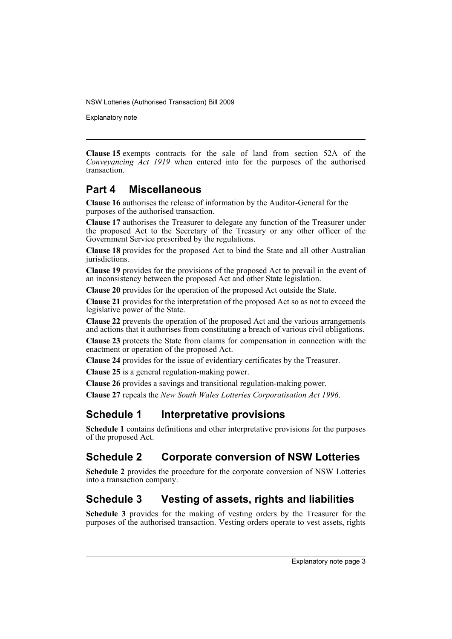Explanatory note

**Clause 15** exempts contracts for the sale of land from section 52A of the *Conveyancing Act 1919* when entered into for the purposes of the authorised transaction.

# **Part 4 Miscellaneous**

**Clause 16** authorises the release of information by the Auditor-General for the purposes of the authorised transaction.

**Clause 17** authorises the Treasurer to delegate any function of the Treasurer under the proposed Act to the Secretary of the Treasury or any other officer of the Government Service prescribed by the regulations.

**Clause 18** provides for the proposed Act to bind the State and all other Australian jurisdictions.

**Clause 19** provides for the provisions of the proposed Act to prevail in the event of an inconsistency between the proposed Act and other State legislation.

**Clause 20** provides for the operation of the proposed Act outside the State.

**Clause 21** provides for the interpretation of the proposed Act so as not to exceed the legislative power of the State.

**Clause 22** prevents the operation of the proposed Act and the various arrangements and actions that it authorises from constituting a breach of various civil obligations.

**Clause 23** protects the State from claims for compensation in connection with the enactment or operation of the proposed Act.

**Clause 24** provides for the issue of evidentiary certificates by the Treasurer.

**Clause 25** is a general regulation-making power.

**Clause 26** provides a savings and transitional regulation-making power.

**Clause 27** repeals the *New South Wales Lotteries Corporatisation Act 1996*.

# **Schedule 1 Interpretative provisions**

**Schedule 1** contains definitions and other interpretative provisions for the purposes of the proposed Act.

# **Schedule 2 Corporate conversion of NSW Lotteries**

**Schedule 2** provides the procedure for the corporate conversion of NSW Lotteries into a transaction company.

# **Schedule 3 Vesting of assets, rights and liabilities**

**Schedule 3** provides for the making of vesting orders by the Treasurer for the purposes of the authorised transaction. Vesting orders operate to vest assets, rights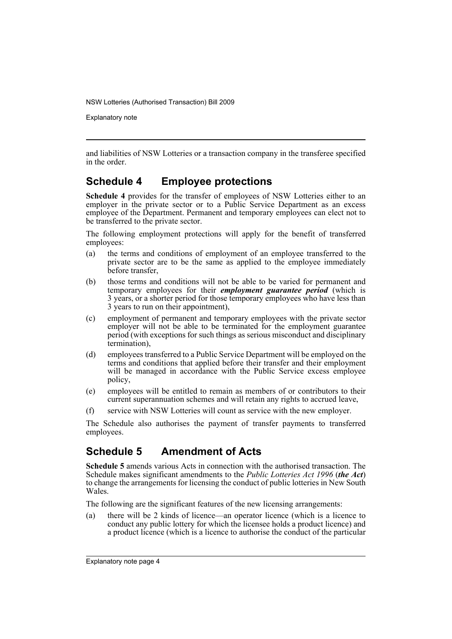Explanatory note

and liabilities of NSW Lotteries or a transaction company in the transferee specified in the order.

# **Schedule 4 Employee protections**

**Schedule 4** provides for the transfer of employees of NSW Lotteries either to an employer in the private sector or to a Public Service Department as an excess employee of the Department. Permanent and temporary employees can elect not to be transferred to the private sector.

The following employment protections will apply for the benefit of transferred employees:

- (a) the terms and conditions of employment of an employee transferred to the private sector are to be the same as applied to the employee immediately before transfer,
- (b) those terms and conditions will not be able to be varied for permanent and temporary employees for their *employment guarantee period* (which is 3 years, or a shorter period for those temporary employees who have less than 3 years to run on their appointment),
- (c) employment of permanent and temporary employees with the private sector employer will not be able to be terminated for the employment guarantee period (with exceptions for such things as serious misconduct and disciplinary termination),
- (d) employees transferred to a Public Service Department will be employed on the terms and conditions that applied before their transfer and their employment will be managed in accordance with the Public Service excess employee policy,
- (e) employees will be entitled to remain as members of or contributors to their current superannuation schemes and will retain any rights to accrued leave,
- (f) service with NSW Lotteries will count as service with the new employer.

The Schedule also authorises the payment of transfer payments to transferred employees.

# **Schedule 5 Amendment of Acts**

**Schedule 5** amends various Acts in connection with the authorised transaction. The Schedule makes significant amendments to the *Public Lotteries Act 1996* (*the Act*) to change the arrangements for licensing the conduct of public lotteries in New South Wales.

The following are the significant features of the new licensing arrangements:

(a) there will be 2 kinds of licence—an operator licence (which is a licence to conduct any public lottery for which the licensee holds a product licence) and a product licence (which is a licence to authorise the conduct of the particular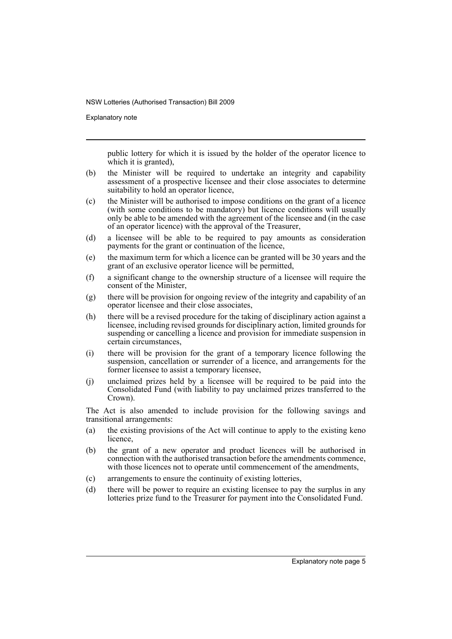Explanatory note

public lottery for which it is issued by the holder of the operator licence to which it is granted),

- (b) the Minister will be required to undertake an integrity and capability assessment of a prospective licensee and their close associates to determine suitability to hold an operator licence,
- (c) the Minister will be authorised to impose conditions on the grant of a licence (with some conditions to be mandatory) but licence conditions will usually only be able to be amended with the agreement of the licensee and (in the case of an operator licence) with the approval of the Treasurer,
- (d) a licensee will be able to be required to pay amounts as consideration payments for the grant or continuation of the licence,
- (e) the maximum term for which a licence can be granted will be 30 years and the grant of an exclusive operator licence will be permitted,
- (f) a significant change to the ownership structure of a licensee will require the consent of the Minister,
- (g) there will be provision for ongoing review of the integrity and capability of an operator licensee and their close associates,
- (h) there will be a revised procedure for the taking of disciplinary action against a licensee, including revised grounds for disciplinary action, limited grounds for suspending or cancelling a licence and provision for immediate suspension in certain circumstances,
- (i) there will be provision for the grant of a temporary licence following the suspension, cancellation or surrender of a licence, and arrangements for the former licensee to assist a temporary licensee,
- (j) unclaimed prizes held by a licensee will be required to be paid into the Consolidated Fund (with liability to pay unclaimed prizes transferred to the Crown).

The Act is also amended to include provision for the following savings and transitional arrangements:

- (a) the existing provisions of the Act will continue to apply to the existing keno licence,
- (b) the grant of a new operator and product licences will be authorised in connection with the authorised transaction before the amendments commence, with those licences not to operate until commencement of the amendments,
- (c) arrangements to ensure the continuity of existing lotteries,
- (d) there will be power to require an existing licensee to pay the surplus in any lotteries prize fund to the Treasurer for payment into the Consolidated Fund.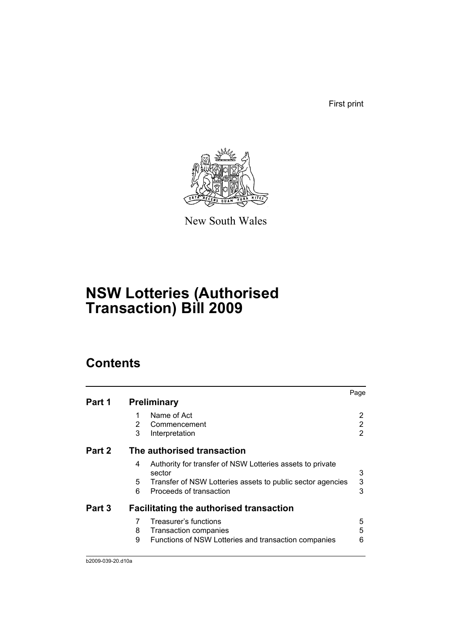First print



New South Wales

# **NSW Lotteries (Authorised Transaction) Bill 2009**

# **Contents**

| Page                                                            |
|-----------------------------------------------------------------|
|                                                                 |
| 2                                                               |
| 2                                                               |
| 2                                                               |
|                                                                 |
| Authority for transfer of NSW Lotteries assets to private<br>3  |
| 3<br>Transfer of NSW Lotteries assets to public sector agencies |
| 3                                                               |
|                                                                 |
| 5                                                               |
| 5                                                               |
| Functions of NSW Lotteries and transaction companies<br>6       |
|                                                                 |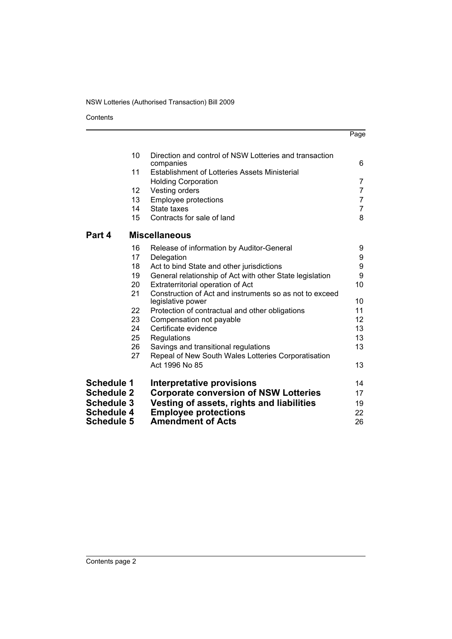Contents

|                   |                 |                                                                              | Page           |
|-------------------|-----------------|------------------------------------------------------------------------------|----------------|
|                   | 10              | Direction and control of NSW Lotteries and transaction                       |                |
|                   |                 | companies                                                                    | 6              |
|                   | 11              | <b>Establishment of Lotteries Assets Ministerial</b>                         | 7              |
|                   | 12 <sub>2</sub> | <b>Holding Corporation</b><br>Vesting orders                                 | 7              |
|                   | 13              | <b>Employee protections</b>                                                  | $\overline{7}$ |
|                   | 14              | State taxes                                                                  | $\overline{7}$ |
|                   | 15              | Contracts for sale of land                                                   | 8              |
| Part 4            |                 | <b>Miscellaneous</b>                                                         |                |
|                   | 16              | Release of information by Auditor-General                                    | 9              |
|                   | 17              | Delegation                                                                   | 9              |
|                   | 18              | Act to bind State and other jurisdictions                                    | 9              |
|                   | 19              | General relationship of Act with other State legislation                     | 9              |
|                   | 20              | Extraterritorial operation of Act                                            | 10             |
|                   | 21              | Construction of Act and instruments so as not to exceed<br>legislative power | 10             |
|                   | 22              | Protection of contractual and other obligations                              | 11             |
|                   | 23              | Compensation not payable                                                     | 12             |
|                   | 24              | Certificate evidence                                                         | 13             |
|                   | 25              | Regulations                                                                  | 13             |
|                   | 26              | Savings and transitional regulations                                         | 13             |
|                   | 27              | Repeal of New South Wales Lotteries Corporatisation                          |                |
|                   |                 | Act 1996 No 85                                                               | 13             |
| <b>Schedule 1</b> |                 | Interpretative provisions                                                    | 14             |
| <b>Schedule 2</b> |                 | <b>Corporate conversion of NSW Lotteries</b>                                 | 17             |
| <b>Schedule 3</b> |                 | Vesting of assets, rights and liabilities                                    | 19             |
| <b>Schedule 4</b> |                 | <b>Employee protections</b>                                                  | 22             |
| <b>Schedule 5</b> |                 | <b>Amendment of Acts</b>                                                     | 26             |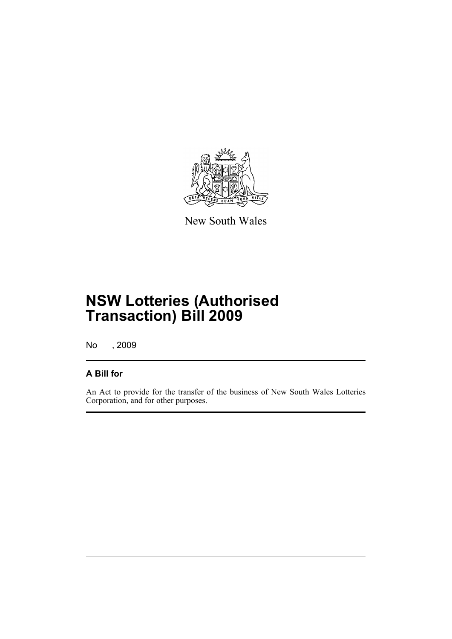

New South Wales

# **NSW Lotteries (Authorised Transaction) Bill 2009**

No , 2009

## **A Bill for**

An Act to provide for the transfer of the business of New South Wales Lotteries Corporation, and for other purposes.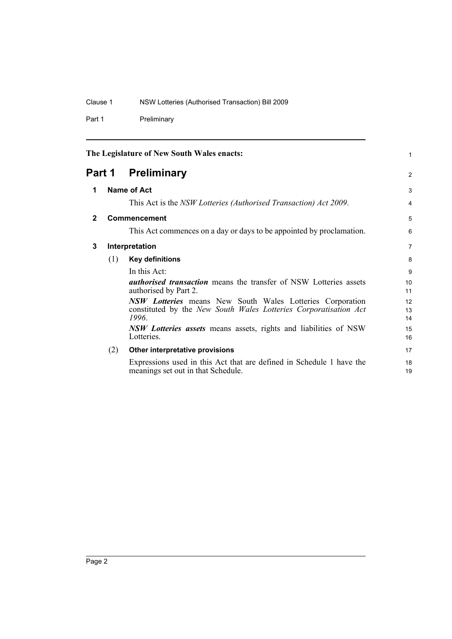Part 1 Preliminary

<span id="page-9-3"></span><span id="page-9-2"></span><span id="page-9-1"></span><span id="page-9-0"></span>

|              |     | The Legislature of New South Wales enacts:                                                                 | 1              |
|--------------|-----|------------------------------------------------------------------------------------------------------------|----------------|
|              |     | <b>Part 1 Preliminary</b>                                                                                  | 2              |
| 1            |     | Name of Act                                                                                                | 3              |
|              |     | This Act is the NSW Lotteries (Authorised Transaction) Act 2009.                                           | 4              |
| $\mathbf{2}$ |     | <b>Commencement</b>                                                                                        | 5              |
|              |     | This Act commences on a day or days to be appointed by proclamation.                                       | 6              |
| 3            |     | Interpretation                                                                                             | $\overline{7}$ |
|              | (1) | <b>Key definitions</b>                                                                                     | 8              |
|              |     | In this Act:                                                                                               | 9              |
|              |     | <i>authorised transaction</i> means the transfer of NSW Lotteries assets<br>authorised by Part 2.          | 10<br>11       |
|              |     | <b>NSW Lotteries</b> means New South Wales Lotteries Corporation                                           | 12             |
|              |     | constituted by the New South Wales Lotteries Corporatisation Act<br>1996.                                  | 13<br>14       |
|              |     | <i>NSW Lotteries assets</i> means assets, rights and liabilities of NSW<br>Lotteries.                      | 15<br>16       |
|              | (2) | Other interpretative provisions                                                                            | 17             |
|              |     | Expressions used in this Act that are defined in Schedule 1 have the<br>meanings set out in that Schedule. | 18<br>19       |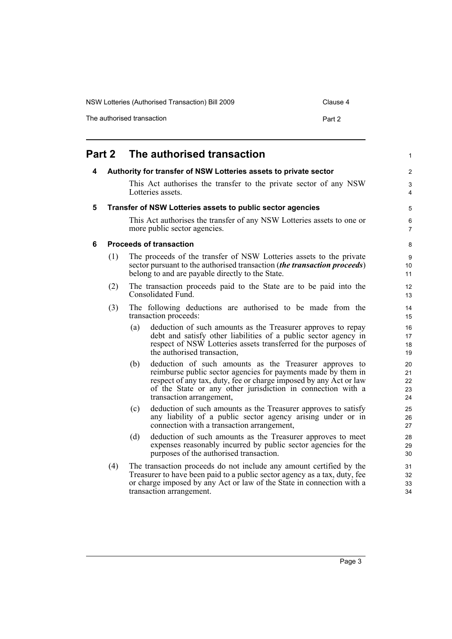| NSW Lotteries (Authorised Transaction) Bill 2009 | Clause 4 |
|--------------------------------------------------|----------|
| The authorised transaction                       | Part 2   |

<span id="page-10-3"></span><span id="page-10-2"></span><span id="page-10-1"></span><span id="page-10-0"></span>

| Part 2 |     | The authorised transaction                                                                                                                                                                                                                                                                     | 1                          |
|--------|-----|------------------------------------------------------------------------------------------------------------------------------------------------------------------------------------------------------------------------------------------------------------------------------------------------|----------------------------|
| 4      |     | Authority for transfer of NSW Lotteries assets to private sector                                                                                                                                                                                                                               | $\overline{c}$             |
|        |     | This Act authorises the transfer to the private sector of any NSW<br>Lotteries assets.                                                                                                                                                                                                         | 3<br>4                     |
| 5      |     | Transfer of NSW Lotteries assets to public sector agencies                                                                                                                                                                                                                                     | 5                          |
|        |     | This Act authorises the transfer of any NSW Lotteries assets to one or<br>more public sector agencies.                                                                                                                                                                                         | 6<br>7                     |
| 6      |     | <b>Proceeds of transaction</b>                                                                                                                                                                                                                                                                 | 8                          |
|        | (1) | The proceeds of the transfer of NSW Lotteries assets to the private<br>sector pursuant to the authorised transaction (the transaction proceeds)<br>belong to and are payable directly to the State.                                                                                            | 9<br>10<br>11              |
|        | (2) | The transaction proceeds paid to the State are to be paid into the<br>Consolidated Fund.                                                                                                                                                                                                       | 12<br>13                   |
|        | (3) | The following deductions are authorised to be made from the<br>transaction proceeds:                                                                                                                                                                                                           | 14<br>15                   |
|        |     | deduction of such amounts as the Treasurer approves to repay<br>(a)<br>debt and satisfy other liabilities of a public sector agency in<br>respect of NSW Lotteries assets transferred for the purposes of<br>the authorised transaction,                                                       | 16<br>17<br>18<br>19       |
|        |     | deduction of such amounts as the Treasurer approves to<br>(b)<br>reimburse public sector agencies for payments made by them in<br>respect of any tax, duty, fee or charge imposed by any Act or law<br>of the State or any other jurisdiction in connection with a<br>transaction arrangement, | 20<br>21<br>22<br>23<br>24 |
|        |     | deduction of such amounts as the Treasurer approves to satisfy<br>(c)<br>any liability of a public sector agency arising under or in<br>connection with a transaction arrangement,                                                                                                             | 25<br>26<br>27             |
|        |     | deduction of such amounts as the Treasurer approves to meet<br>(d)<br>expenses reasonably incurred by public sector agencies for the<br>purposes of the authorised transaction.                                                                                                                | 28<br>29<br>30             |
|        | (4) | The transaction proceeds do not include any amount certified by the<br>Treasurer to have been paid to a public sector agency as a tax, duty, fee<br>or charge imposed by any Act or law of the State in connection with a<br>transaction arrangement.                                          | 31<br>32<br>33<br>34       |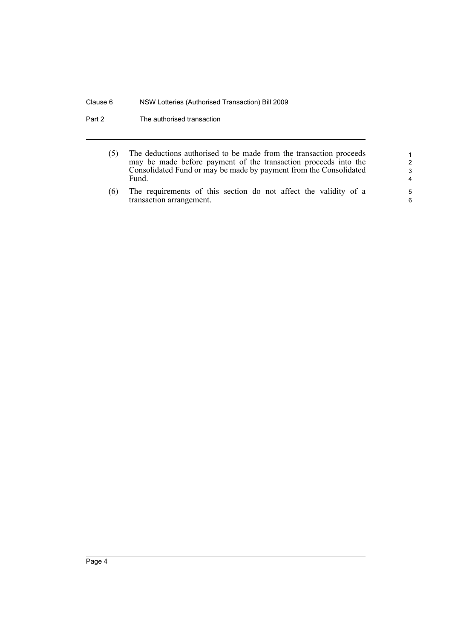Part 2 The authorised transaction

- (5) The deductions authorised to be made from the transaction proceeds may be made before payment of the transaction proceeds into the Consolidated Fund or may be made by payment from the Consolidated Fund.
- (6) The requirements of this section do not affect the validity of a transaction arrangement.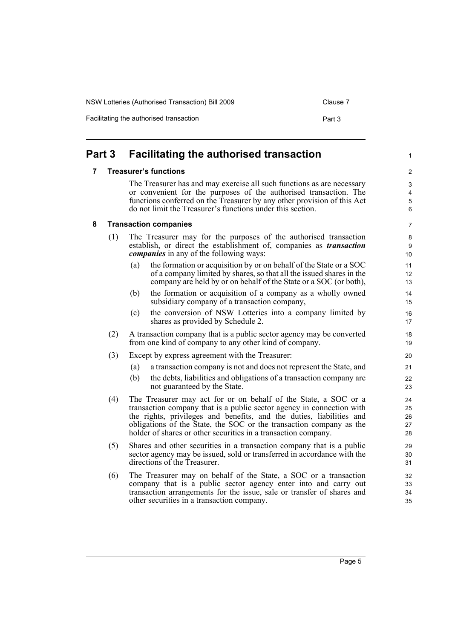NSW Lotteries (Authorised Transaction) Bill 2009 Clause 7

Facilitating the authorised transaction example of the Part 3

<span id="page-12-2"></span><span id="page-12-1"></span><span id="page-12-0"></span>

| Part 3 |     | <b>Facilitating the authorised transaction</b>                                                                                                                                                                                                                                                                                                            | 1                                                |
|--------|-----|-----------------------------------------------------------------------------------------------------------------------------------------------------------------------------------------------------------------------------------------------------------------------------------------------------------------------------------------------------------|--------------------------------------------------|
| 7      |     | <b>Treasurer's functions</b>                                                                                                                                                                                                                                                                                                                              | 2                                                |
|        |     | The Treasurer has and may exercise all such functions as are necessary<br>or convenient for the purposes of the authorised transaction. The<br>functions conferred on the Treasurer by any other provision of this Act<br>do not limit the Treasurer's functions under this section.                                                                      | 3<br>$\overline{\mathbf{4}}$<br>$\mathbf 5$<br>6 |
| 8      |     | <b>Transaction companies</b>                                                                                                                                                                                                                                                                                                                              | 7                                                |
|        | (1) | The Treasurer may for the purposes of the authorised transaction<br>establish, or direct the establishment of, companies as <i>transaction</i><br><i>companies</i> in any of the following ways:                                                                                                                                                          | 8<br>9<br>10                                     |
|        |     | the formation or acquisition by or on behalf of the State or a SOC<br>(a)<br>of a company limited by shares, so that all the issued shares in the<br>company are held by or on behalf of the State or a SOC (or both),                                                                                                                                    | 11<br>12<br>13                                   |
|        |     | the formation or acquisition of a company as a wholly owned<br>(b)<br>subsidiary company of a transaction company,                                                                                                                                                                                                                                        | 14<br>15                                         |
|        |     | the conversion of NSW Lotteries into a company limited by<br>(c)<br>shares as provided by Schedule 2.                                                                                                                                                                                                                                                     | 16<br>17                                         |
|        | (2) | A transaction company that is a public sector agency may be converted<br>from one kind of company to any other kind of company.                                                                                                                                                                                                                           | 18<br>19                                         |
|        | (3) | Except by express agreement with the Treasurer:<br>a transaction company is not and does not represent the State, and<br>(a)<br>(b)<br>the debts, liabilities and obligations of a transaction company are<br>not guaranteed by the State.                                                                                                                | 20<br>21<br>22<br>23                             |
|        | (4) | The Treasurer may act for or on behalf of the State, a SOC or a<br>transaction company that is a public sector agency in connection with<br>the rights, privileges and benefits, and the duties, liabilities and<br>obligations of the State, the SOC or the transaction company as the<br>holder of shares or other securities in a transaction company. | 24<br>25<br>26<br>27<br>28                       |
|        | (5) | Shares and other securities in a transaction company that is a public<br>sector agency may be issued, sold or transferred in accordance with the<br>directions of the Treasurer.                                                                                                                                                                          | 29<br>30<br>31                                   |
|        | (6) | The Treasurer may on behalf of the State, a SOC or a transaction<br>company that is a public sector agency enter into and carry out<br>transaction arrangements for the issue, sale or transfer of shares and                                                                                                                                             | 32<br>33<br>34                                   |

other securities in a transaction company.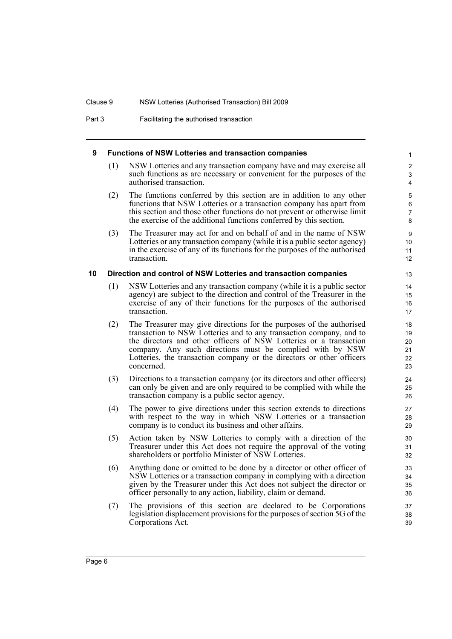Part 3 Facilitating the authorised transaction

### <span id="page-13-0"></span>**9 Functions of NSW Lotteries and transaction companies**

(1) NSW Lotteries and any transaction company have and may exercise all such functions as are necessary or convenient for the purposes of the authorised transaction.

- (2) The functions conferred by this section are in addition to any other functions that NSW Lotteries or a transaction company has apart from this section and those other functions do not prevent or otherwise limit the exercise of the additional functions conferred by this section.
- (3) The Treasurer may act for and on behalf of and in the name of NSW Lotteries or any transaction company (while it is a public sector agency) in the exercise of any of its functions for the purposes of the authorised transaction.

### <span id="page-13-1"></span>**10 Direction and control of NSW Lotteries and transaction companies**

- (1) NSW Lotteries and any transaction company (while it is a public sector agency) are subject to the direction and control of the Treasurer in the exercise of any of their functions for the purposes of the authorised transaction.
- (2) The Treasurer may give directions for the purposes of the authorised transaction to NSW Lotteries and to any transaction company, and to the directors and other officers of NSW Lotteries or a transaction company. Any such directions must be complied with by NSW Lotteries, the transaction company or the directors or other officers concerned.
- (3) Directions to a transaction company (or its directors and other officers) can only be given and are only required to be complied with while the transaction company is a public sector agency.
- (4) The power to give directions under this section extends to directions with respect to the way in which NSW Lotteries or a transaction company is to conduct its business and other affairs.
- (5) Action taken by NSW Lotteries to comply with a direction of the Treasurer under this Act does not require the approval of the voting shareholders or portfolio Minister of NSW Lotteries.
- (6) Anything done or omitted to be done by a director or other officer of NSW Lotteries or a transaction company in complying with a direction given by the Treasurer under this Act does not subject the director or officer personally to any action, liability, claim or demand.
- (7) The provisions of this section are declared to be Corporations legislation displacement provisions for the purposes of section 5G of the Corporations Act.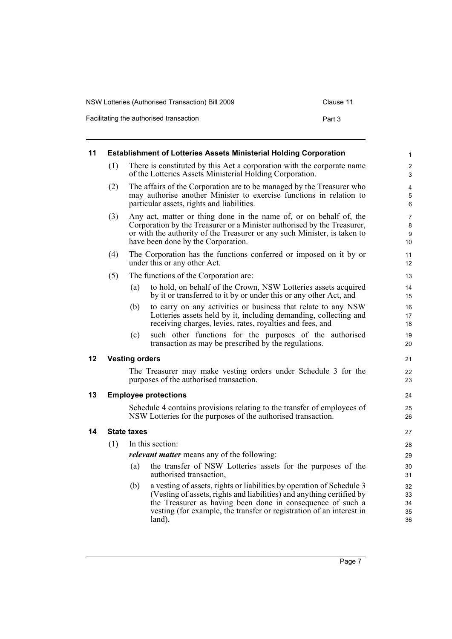| NSW Lotteries (Authorised Transaction) Bill 2009 | Clause 11 |
|--------------------------------------------------|-----------|
| Facilitating the authorised transaction          | Part 3    |

<span id="page-14-3"></span><span id="page-14-2"></span><span id="page-14-1"></span><span id="page-14-0"></span>

| 11 | <b>Establishment of Lotteries Assets Ministerial Holding Corporation</b> |                       |                                                                                                                                                                                                                                                                                                | 1                              |
|----|--------------------------------------------------------------------------|-----------------------|------------------------------------------------------------------------------------------------------------------------------------------------------------------------------------------------------------------------------------------------------------------------------------------------|--------------------------------|
|    | (1)                                                                      |                       | There is constituted by this Act a corporation with the corporate name<br>of the Lotteries Assets Ministerial Holding Corporation.                                                                                                                                                             | $\overline{2}$<br>3            |
|    | (2)                                                                      |                       | The affairs of the Corporation are to be managed by the Treasurer who<br>may authorise another Minister to exercise functions in relation to<br>particular assets, rights and liabilities.                                                                                                     | 4<br>5<br>6                    |
|    | (3)                                                                      |                       | Any act, matter or thing done in the name of, or on behalf of, the<br>Corporation by the Treasurer or a Minister authorised by the Treasurer,<br>or with the authority of the Treasurer or any such Minister, is taken to<br>have been done by the Corporation.                                | $\overline{7}$<br>8<br>9<br>10 |
|    | (4)                                                                      |                       | The Corporation has the functions conferred or imposed on it by or<br>under this or any other Act.                                                                                                                                                                                             | 11<br>12                       |
|    | (5)                                                                      |                       | The functions of the Corporation are:                                                                                                                                                                                                                                                          | 13                             |
|    |                                                                          | (a)                   | to hold, on behalf of the Crown, NSW Lotteries assets acquired<br>by it or transferred to it by or under this or any other Act, and                                                                                                                                                            | 14<br>15                       |
|    |                                                                          | (b)                   | to carry on any activities or business that relate to any NSW<br>Lotteries assets held by it, including demanding, collecting and<br>receiving charges, levies, rates, royalties and fees, and                                                                                                 | 16<br>17<br>18                 |
|    |                                                                          | (c)                   | such other functions for the purposes of the authorised<br>transaction as may be prescribed by the regulations.                                                                                                                                                                                | 19<br>20                       |
| 12 |                                                                          | <b>Vesting orders</b> |                                                                                                                                                                                                                                                                                                | 21                             |
|    |                                                                          |                       | The Treasurer may make vesting orders under Schedule 3 for the<br>purposes of the authorised transaction.                                                                                                                                                                                      | 22<br>23                       |
| 13 |                                                                          |                       | <b>Employee protections</b>                                                                                                                                                                                                                                                                    | 24                             |
|    |                                                                          |                       | Schedule 4 contains provisions relating to the transfer of employees of<br>NSW Lotteries for the purposes of the authorised transaction.                                                                                                                                                       | 25<br>26                       |
| 14 |                                                                          | <b>State taxes</b>    |                                                                                                                                                                                                                                                                                                | 27                             |
|    | (1)                                                                      |                       | In this section:                                                                                                                                                                                                                                                                               | 28                             |
|    |                                                                          |                       | <i>relevant matter</i> means any of the following:                                                                                                                                                                                                                                             | 29                             |
|    |                                                                          | (a)                   | the transfer of NSW Lotteries assets for the purposes of the<br>authorised transaction,                                                                                                                                                                                                        | 30<br>31                       |
|    |                                                                          | (b)                   | a vesting of assets, rights or liabilities by operation of Schedule 3<br>(Vesting of assets, rights and liabilities) and anything certified by<br>the Treasurer as having been done in consequence of such a<br>vesting (for example, the transfer or registration of an interest in<br>land), | 32<br>33<br>34<br>35<br>36     |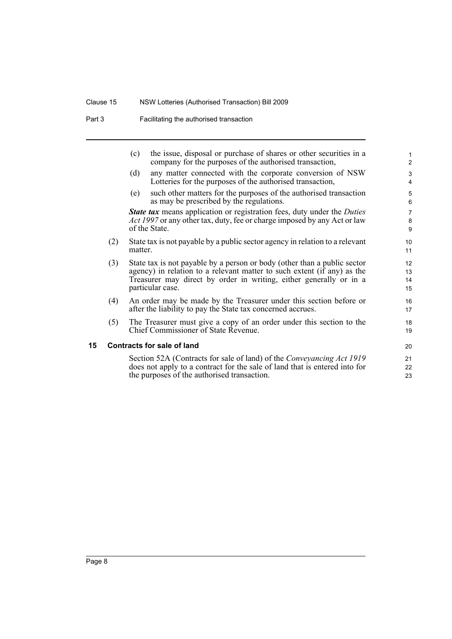## Clause 15 NSW Lotteries (Authorised Transaction) Bill 2009

Part 3 **Facilitating the authorised transaction** 

<span id="page-15-0"></span>

|    |     | (c)     | the issue, disposal or purchase of shares or other securities in a<br>company for the purposes of the authorised transaction,                                                                                                                 | 1<br>$\overline{2}$      |
|----|-----|---------|-----------------------------------------------------------------------------------------------------------------------------------------------------------------------------------------------------------------------------------------------|--------------------------|
|    |     | (d)     | any matter connected with the corporate conversion of NSW<br>Lotteries for the purposes of the authorised transaction,                                                                                                                        | 3<br>4                   |
|    |     | (e)     | such other matters for the purposes of the authorised transaction<br>as may be prescribed by the regulations.                                                                                                                                 | 5<br>6                   |
|    |     |         | <b>State tax</b> means application or registration fees, duty under the <i>Duties</i><br>Act 1997 or any other tax, duty, fee or charge imposed by any Act or law<br>of the State.                                                            | $\overline{7}$<br>8<br>9 |
|    | (2) | matter. | State tax is not payable by a public sector agency in relation to a relevant                                                                                                                                                                  | 10 <sup>°</sup><br>11    |
|    | (3) |         | State tax is not payable by a person or body (other than a public sector<br>agency) in relation to a relevant matter to such extent (if any) as the<br>Treasurer may direct by order in writing, either generally or in a<br>particular case. | 12<br>13<br>14<br>15     |
|    | (4) |         | An order may be made by the Treasurer under this section before or<br>after the liability to pay the State tax concerned accrues.                                                                                                             | 16<br>17                 |
|    | (5) |         | The Treasurer must give a copy of an order under this section to the<br>Chief Commissioner of State Revenue.                                                                                                                                  | 18<br>19                 |
| 15 |     |         | <b>Contracts for sale of land</b>                                                                                                                                                                                                             | 20                       |
|    |     |         | Section 52A (Contracts for sale of land) of the <i>Conveyancing Act 1919</i><br>does not apply to a contract for the sale of land that is entered into for<br>the purposes of the authorised transaction.                                     | 21<br>22<br>23           |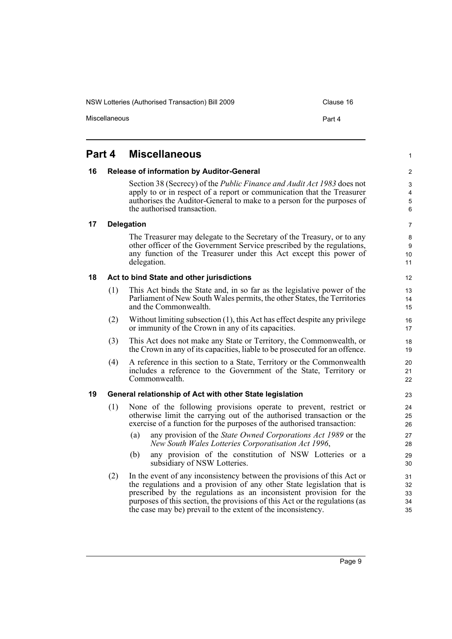NSW Lotteries (Authorised Transaction) Bill 2009 Clause 16

Miscellaneous **Part 4** 

## <span id="page-16-0"></span>**Part 4 Miscellaneous**

### <span id="page-16-1"></span>**16 Release of information by Auditor-General**

Section 38 (Secrecy) of the *Public Finance and Audit Act 1983* does not apply to or in respect of a report or communication that the Treasurer authorises the Auditor-General to make to a person for the purposes of the authorised transaction.

6 7

1

### <span id="page-16-2"></span>**17 Delegation**

The Treasurer may delegate to the Secretary of the Treasury, or to any other officer of the Government Service prescribed by the regulations, any function of the Treasurer under this Act except this power of delegation.

### <span id="page-16-3"></span>**18 Act to bind State and other jurisdictions**

- (1) This Act binds the State and, in so far as the legislative power of the Parliament of New South Wales permits, the other States, the Territories and the Commonwealth.
- (2) Without limiting subsection (1), this Act has effect despite any privilege or immunity of the Crown in any of its capacities.
- (3) This Act does not make any State or Territory, the Commonwealth, or the Crown in any of its capacities, liable to be prosecuted for an offence.
- (4) A reference in this section to a State, Territory or the Commonwealth includes a reference to the Government of the State, Territory or Commonwealth.

### <span id="page-16-4"></span>**19 General relationship of Act with other State legislation**

- (1) None of the following provisions operate to prevent, restrict or otherwise limit the carrying out of the authorised transaction or the exercise of a function for the purposes of the authorised transaction:
	- (a) any provision of the *State Owned Corporations Act 1989* or the *New South Wales Lotteries Corporatisation Act 1996*,
	- (b) any provision of the constitution of NSW Lotteries or a subsidiary of NSW Lotteries.
- (2) In the event of any inconsistency between the provisions of this Act or the regulations and a provision of any other State legislation that is prescribed by the regulations as an inconsistent provision for the purposes of this section, the provisions of this Act or the regulations (as the case may be) prevail to the extent of the inconsistency.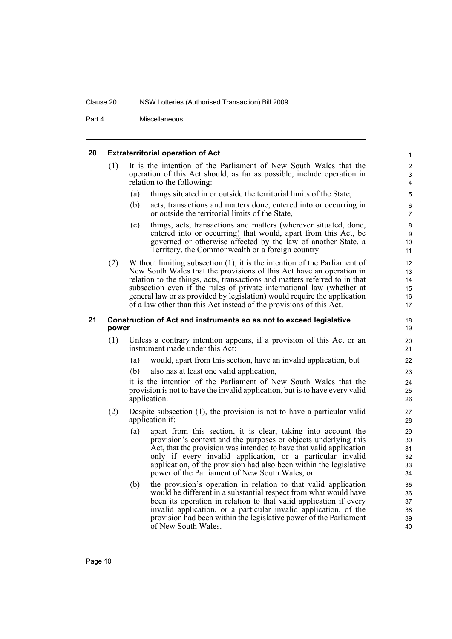Part 4 Miscellaneous

### <span id="page-17-0"></span>**20 Extraterritorial operation of Act**

<span id="page-17-1"></span>

| 20 |       |     | <b>Extraterritorial operation of Act</b>                                                                                                                                                                                                                                                                                                                                                                                                                       | $\mathbf{1}$                                                    |
|----|-------|-----|----------------------------------------------------------------------------------------------------------------------------------------------------------------------------------------------------------------------------------------------------------------------------------------------------------------------------------------------------------------------------------------------------------------------------------------------------------------|-----------------------------------------------------------------|
|    | (1)   |     | It is the intention of the Parliament of New South Wales that the<br>operation of this Act should, as far as possible, include operation in<br>relation to the following:                                                                                                                                                                                                                                                                                      | $\boldsymbol{2}$<br>$\ensuremath{\mathsf{3}}$<br>$\overline{4}$ |
|    |       | (a) | things situated in or outside the territorial limits of the State,                                                                                                                                                                                                                                                                                                                                                                                             | 5                                                               |
|    |       | (b) | acts, transactions and matters done, entered into or occurring in<br>or outside the territorial limits of the State,                                                                                                                                                                                                                                                                                                                                           | 6<br>$\overline{7}$                                             |
|    |       | (c) | things, acts, transactions and matters (wherever situated, done,<br>entered into or occurring) that would, apart from this Act, be<br>governed or otherwise affected by the law of another State, a<br>Territory, the Commonwealth or a foreign country.                                                                                                                                                                                                       | 8<br>9<br>10<br>11                                              |
|    | (2)   |     | Without limiting subsection $(1)$ , it is the intention of the Parliament of<br>New South Wales that the provisions of this Act have an operation in<br>relation to the things, acts, transactions and matters referred to in that<br>subsection even if the rules of private international law (whether at<br>general law or as provided by legislation) would require the application<br>of a law other than this Act instead of the provisions of this Act. | 12<br>13<br>14<br>15<br>16<br>17                                |
| 21 | power |     | Construction of Act and instruments so as not to exceed legislative                                                                                                                                                                                                                                                                                                                                                                                            | 18<br>19                                                        |
|    | (1)   |     | Unless a contrary intention appears, if a provision of this Act or an<br>instrument made under this Act:                                                                                                                                                                                                                                                                                                                                                       | 20<br>21                                                        |
|    |       | (a) | would, apart from this section, have an invalid application, but                                                                                                                                                                                                                                                                                                                                                                                               | 22                                                              |
|    |       | (b) | also has at least one valid application,                                                                                                                                                                                                                                                                                                                                                                                                                       | 23                                                              |
|    |       |     | it is the intention of the Parliament of New South Wales that the<br>provision is not to have the invalid application, but is to have every valid<br>application.                                                                                                                                                                                                                                                                                              | 24<br>25<br>26                                                  |
|    | (2)   |     | Despite subsection $(1)$ , the provision is not to have a particular valid<br>application if:                                                                                                                                                                                                                                                                                                                                                                  | 27<br>28                                                        |
|    |       | (a) | apart from this section, it is clear, taking into account the<br>provision's context and the purposes or objects underlying this<br>Act, that the provision was intended to have that valid application<br>only if every invalid application, or a particular invalid<br>application, of the provision had also been within the legislative<br>power of the Parliament of New South Wales, or                                                                  | 29<br>30<br>31<br>32<br>33<br>34                                |
|    |       | (b) | the provision's operation in relation to that valid application<br>would be different in a substantial respect from what would have<br>been its operation in relation to that valid application if every<br>invalid application, or a particular invalid application, of the<br>provision had been within the legislative power of the Parliament<br>of New South Wales.                                                                                       | 35<br>36<br>37<br>38<br>39<br>40                                |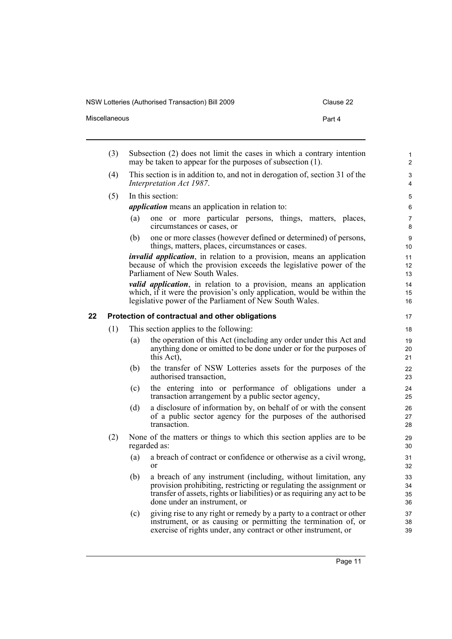| Clause 22 |  |
|-----------|--|
|-----------|--|

| Miscellaneous | Part 4 |  |
|---------------|--------|--|
|               |        |  |

<span id="page-18-0"></span>

|    | (3) |     | Subsection (2) does not limit the cases in which a contrary intention<br>may be taken to appear for the purposes of subsection (1).                                                                                                              | $\mathbf{1}$<br>$\overline{2}$ |
|----|-----|-----|--------------------------------------------------------------------------------------------------------------------------------------------------------------------------------------------------------------------------------------------------|--------------------------------|
|    | (4) |     | This section is in addition to, and not in derogation of, section 31 of the<br>Interpretation Act 1987.                                                                                                                                          | $\ensuremath{\mathsf{3}}$<br>4 |
|    | (5) |     | In this section:                                                                                                                                                                                                                                 | 5                              |
|    |     |     | <i>application</i> means an application in relation to:                                                                                                                                                                                          | 6                              |
|    |     | (a) | one or more particular persons, things, matters, places,<br>circumstances or cases, or                                                                                                                                                           | 7<br>8                         |
|    |     | (b) | one or more classes (however defined or determined) of persons,<br>things, matters, places, circumstances or cases.                                                                                                                              | $\boldsymbol{9}$<br>10         |
|    |     |     | <i>invalid application</i> , in relation to a provision, means an application<br>because of which the provision exceeds the legislative power of the<br>Parliament of New South Wales.                                                           | 11<br>12<br>13                 |
|    |     |     | <i>valid application</i> , in relation to a provision, means an application<br>which, if it were the provision's only application, would be within the<br>legislative power of the Parliament of New South Wales.                                | 14<br>15<br>16                 |
| 22 |     |     | Protection of contractual and other obligations                                                                                                                                                                                                  | 17                             |
|    | (1) |     | This section applies to the following:                                                                                                                                                                                                           | 18                             |
|    |     | (a) | the operation of this Act (including any order under this Act and<br>anything done or omitted to be done under or for the purposes of<br>this Act),                                                                                              | 19<br>20<br>21                 |
|    |     | (b) | the transfer of NSW Lotteries assets for the purposes of the<br>authorised transaction,                                                                                                                                                          | 22<br>23                       |
|    |     | (c) | the entering into or performance of obligations under a<br>transaction arrangement by a public sector agency,                                                                                                                                    | 24<br>25                       |
|    |     | (d) | a disclosure of information by, on behalf of or with the consent<br>of a public sector agency for the purposes of the authorised<br>transaction.                                                                                                 | 26<br>27<br>28                 |
|    | (2) |     | None of the matters or things to which this section applies are to be<br>regarded as:                                                                                                                                                            | 29<br>30                       |
|    |     | (a) | a breach of contract or confidence or otherwise as a civil wrong,<br><sub>or</sub>                                                                                                                                                               | 31<br>32                       |
|    |     | (b) | a breach of any instrument (including, without limitation, any<br>provision prohibiting, restricting or regulating the assignment or<br>transfer of assets, rights or liabilities) or as requiring any act to be<br>done under an instrument, or | 33<br>34<br>35<br>36           |
|    |     | (c) | giving rise to any right or remedy by a party to a contract or other<br>instrument, or as causing or permitting the termination of, or<br>exercise of rights under, any contract or other instrument, or                                         | 37<br>38<br>39                 |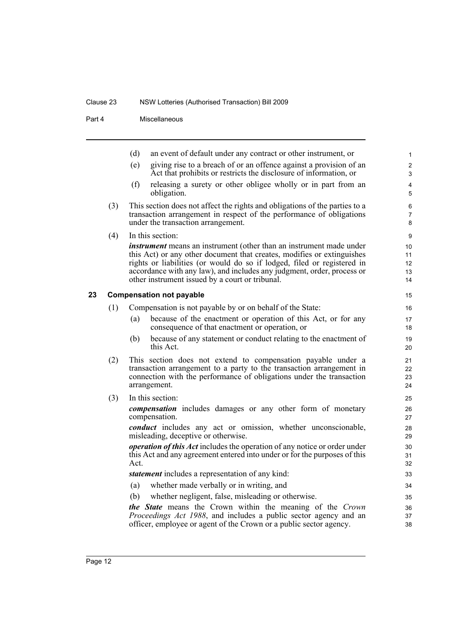### Clause 23 NSW Lotteries (Authorised Transaction) Bill 2009

Part 4 Miscellaneous

<span id="page-19-0"></span>

|    |     | (d)  | an event of default under any contract or other instrument, or                                                                                                                                                                                                                                                                                               | $\mathbf{1}$               |
|----|-----|------|--------------------------------------------------------------------------------------------------------------------------------------------------------------------------------------------------------------------------------------------------------------------------------------------------------------------------------------------------------------|----------------------------|
|    |     | (e)  | giving rise to a breach of or an offence against a provision of an<br>Act that prohibits or restricts the disclosure of information, or                                                                                                                                                                                                                      | $\mathbf{2}$<br>3          |
|    |     | (f)  | releasing a surety or other obligee wholly or in part from an<br>obligation.                                                                                                                                                                                                                                                                                 | $\overline{4}$<br>5        |
|    | (3) |      | This section does not affect the rights and obligations of the parties to a<br>transaction arrangement in respect of the performance of obligations<br>under the transaction arrangement.                                                                                                                                                                    | 6<br>7<br>8                |
|    | (4) |      | In this section:                                                                                                                                                                                                                                                                                                                                             | 9                          |
|    |     |      | <i>instrument</i> means an instrument (other than an instrument made under<br>this Act) or any other document that creates, modifies or extinguishes<br>rights or liabilities (or would do so if lodged, filed or registered in<br>accordance with any law), and includes any judgment, order, process or<br>other instrument issued by a court or tribunal. | 10<br>11<br>12<br>13<br>14 |
| 23 |     |      | <b>Compensation not payable</b>                                                                                                                                                                                                                                                                                                                              | 15                         |
|    | (1) |      | Compensation is not payable by or on behalf of the State:                                                                                                                                                                                                                                                                                                    | 16                         |
|    |     | (a)  | because of the enactment or operation of this Act, or for any<br>consequence of that enactment or operation, or                                                                                                                                                                                                                                              | 17<br>18                   |
|    |     | (b)  | because of any statement or conduct relating to the enactment of<br>this Act.                                                                                                                                                                                                                                                                                | 19<br>20                   |
|    | (2) |      | This section does not extend to compensation payable under a<br>transaction arrangement to a party to the transaction arrangement in<br>connection with the performance of obligations under the transaction<br>arrangement.                                                                                                                                 | 21<br>22<br>23<br>24       |
|    | (3) |      | In this section:                                                                                                                                                                                                                                                                                                                                             | 25                         |
|    |     |      | compensation includes damages or any other form of monetary<br>compensation.                                                                                                                                                                                                                                                                                 | 26<br>27                   |
|    |     |      | <i>conduct</i> includes any act or omission, whether unconscionable,<br>misleading, deceptive or otherwise.                                                                                                                                                                                                                                                  | 28<br>29                   |
|    |     | Act. | <i>operation of this Act</i> includes the operation of any notice or order under<br>this Act and any agreement entered into under or for the purposes of this                                                                                                                                                                                                | 30<br>31<br>32             |
|    |     |      | statement includes a representation of any kind:                                                                                                                                                                                                                                                                                                             | 33                         |
|    |     | (a)  | whether made verbally or in writing, and                                                                                                                                                                                                                                                                                                                     | 34                         |
|    |     | (b)  | whether negligent, false, misleading or otherwise.                                                                                                                                                                                                                                                                                                           | 35                         |
|    |     |      | the State means the Crown within the meaning of the Crown<br>Proceedings Act 1988, and includes a public sector agency and an                                                                                                                                                                                                                                | 36<br>37                   |

officer, employee or agent of the Crown or a public sector agency.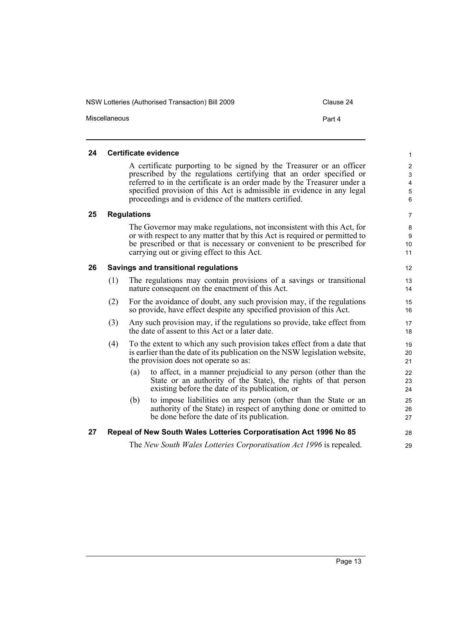NSW Lotteries (Authorised Transaction) Bill 2009 Clause 24 Miscellaneous **Part 4** 

### <span id="page-20-0"></span>**24 Certificate evidence**

A certificate purporting to be signed by the Treasurer or an officer prescribed by the regulations certifying that an order specified or referred to in the certificate is an order made by the Treasurer under a specified provision of this Act is admissible in evidence in any legal proceedings and is evidence of the matters certified.

### <span id="page-20-1"></span>**25 Regulations**

The Governor may make regulations, not inconsistent with this Act, for or with respect to any matter that by this Act is required or permitted to be prescribed or that is necessary or convenient to be prescribed for carrying out or giving effect to this Act.

### <span id="page-20-2"></span>**26 Savings and transitional regulations**

- (1) The regulations may contain provisions of a savings or transitional nature consequent on the enactment of this Act.
- (2) For the avoidance of doubt, any such provision may, if the regulations so provide, have effect despite any specified provision of this Act.
- (3) Any such provision may, if the regulations so provide, take effect from the date of assent to this Act or a later date.
- (4) To the extent to which any such provision takes effect from a date that is earlier than the date of its publication on the NSW legislation website, the provision does not operate so as:
	- (a) to affect, in a manner prejudicial to any person (other than the State or an authority of the State), the rights of that person existing before the date of its publication, or
	- (b) to impose liabilities on any person (other than the State or an authority of the State) in respect of anything done or omitted to be done before the date of its publication.

### <span id="page-20-3"></span>**27 Repeal of New South Wales Lotteries Corporatisation Act 1996 No 85**

The *New South Wales Lotteries Corporatisation Act 1996* is repealed.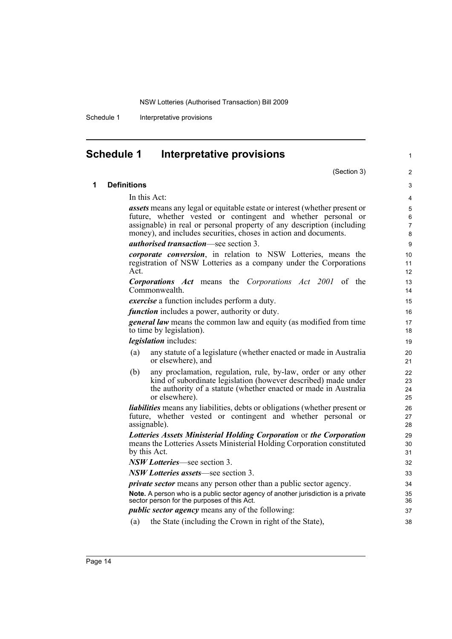Schedule 1 Interpretative provisions

# <span id="page-21-0"></span>**Schedule 1 Interpretative provisions**

|   | (Section 3)                                                                                                                                                                                                                                                                                     | 2                             |
|---|-------------------------------------------------------------------------------------------------------------------------------------------------------------------------------------------------------------------------------------------------------------------------------------------------|-------------------------------|
| 1 | <b>Definitions</b>                                                                                                                                                                                                                                                                              | 3                             |
|   | In this Act:                                                                                                                                                                                                                                                                                    | 4                             |
|   | <i>assets</i> means any legal or equitable estate or interest (whether present or<br>future, whether vested or contingent and whether personal or<br>assignable) in real or personal property of any description (including<br>money), and includes securities, choses in action and documents. | 5<br>6<br>$\overline{7}$<br>8 |
|   | <i>authorised transaction</i> —see section 3.                                                                                                                                                                                                                                                   | 9                             |
|   | corporate conversion, in relation to NSW Lotteries, means the<br>registration of NSW Lotteries as a company under the Corporations<br>Act.                                                                                                                                                      | 10<br>11<br>12                |
|   | <b>Corporations Act</b> means the Corporations Act 2001 of the<br>Commonwealth.                                                                                                                                                                                                                 | 13<br>14                      |
|   | exercise a function includes perform a duty.                                                                                                                                                                                                                                                    | 15                            |
|   | <i>function</i> includes a power, authority or duty.                                                                                                                                                                                                                                            | 16                            |
|   | <b>general law</b> means the common law and equity (as modified from time<br>to time by legislation).                                                                                                                                                                                           | 17<br>18                      |
|   | <i>legislation</i> includes:                                                                                                                                                                                                                                                                    | 19                            |
|   | any statute of a legislature (whether enacted or made in Australia<br>(a)<br>or elsewhere), and                                                                                                                                                                                                 | 20<br>21                      |
|   | any proclamation, regulation, rule, by-law, order or any other<br>(b)<br>kind of subordinate legislation (however described) made under<br>the authority of a statute (whether enacted or made in Australia<br>or elsewhere).                                                                   | 22<br>23<br>24<br>25          |
|   | <i>liabilities</i> means any liabilities, debts or obligations (whether present or<br>future, whether vested or contingent and whether personal or<br>assignable).                                                                                                                              | 26<br>27<br>28                |
|   | Lotteries Assets Ministerial Holding Corporation or the Corporation<br>means the Lotteries Assets Ministerial Holding Corporation constituted<br>by this Act.                                                                                                                                   | 29<br>30<br>31                |
|   | NSW Lotteries—see section 3.                                                                                                                                                                                                                                                                    | 32                            |
|   | NSW Lotteries assets—see section 3.                                                                                                                                                                                                                                                             | 33                            |
|   | <i>private sector</i> means any person other than a public sector agency.                                                                                                                                                                                                                       | 34                            |
|   | Note. A person who is a public sector agency of another jurisdiction is a private<br>sector person for the purposes of this Act.                                                                                                                                                                | 35<br>36                      |
|   | <i>public sector agency</i> means any of the following:                                                                                                                                                                                                                                         | 37                            |
|   | the State (including the Crown in right of the State),<br>(a)                                                                                                                                                                                                                                   | 38                            |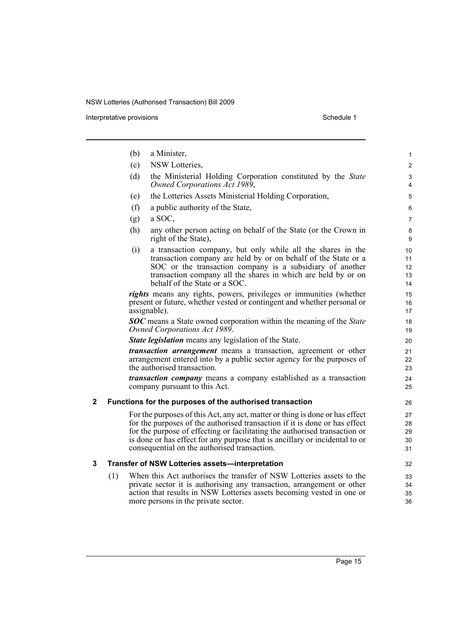Interpretative provisions and the set of the set of the set of the Schedule 1 set of the Schedule 1

|   |     | (b) | a Minister,                                                                                                                                                                                                                                                                                                                                                             | 1                                       |
|---|-----|-----|-------------------------------------------------------------------------------------------------------------------------------------------------------------------------------------------------------------------------------------------------------------------------------------------------------------------------------------------------------------------------|-----------------------------------------|
|   |     | (c) | NSW Lotteries,                                                                                                                                                                                                                                                                                                                                                          | $\mathbf{2}$                            |
|   |     | (d) | the Ministerial Holding Corporation constituted by the State<br>Owned Corporations Act 1989,                                                                                                                                                                                                                                                                            | 3<br>4                                  |
|   |     | (e) | the Lotteries Assets Ministerial Holding Corporation,                                                                                                                                                                                                                                                                                                                   | 5                                       |
|   |     | (f) | a public authority of the State,                                                                                                                                                                                                                                                                                                                                        | 6                                       |
|   |     | (g) | a SOC,                                                                                                                                                                                                                                                                                                                                                                  | $\overline{7}$                          |
|   |     | (h) | any other person acting on behalf of the State (or the Crown in<br>right of the State),                                                                                                                                                                                                                                                                                 | 8<br>9                                  |
|   |     | (i) | a transaction company, but only while all the shares in the<br>transaction company are held by or on behalf of the State or a<br>SOC or the transaction company is a subsidiary of another<br>transaction company all the shares in which are held by or on<br>behalf of the State or a SOC.                                                                            | 10 <sup>°</sup><br>11<br>12<br>13<br>14 |
|   |     |     | rights means any rights, powers, privileges or immunities (whether<br>present or future, whether vested or contingent and whether personal or<br>assignable).                                                                                                                                                                                                           | 15<br>16<br>17                          |
|   |     |     | <b>SOC</b> means a State owned corporation within the meaning of the State<br>Owned Corporations Act 1989.                                                                                                                                                                                                                                                              | 18<br>19                                |
|   |     |     | <b>State legislation</b> means any legislation of the State.                                                                                                                                                                                                                                                                                                            | 20                                      |
|   |     |     | <i>transaction arrangement</i> means a transaction, agreement or other<br>arrangement entered into by a public sector agency for the purposes of<br>the authorised transaction.                                                                                                                                                                                         | 21<br>22<br>23                          |
|   |     |     | <i>transaction company</i> means a company established as a transaction<br>company pursuant to this Act.                                                                                                                                                                                                                                                                | 24<br>25                                |
| 2 |     |     | Functions for the purposes of the authorised transaction                                                                                                                                                                                                                                                                                                                | 26                                      |
|   |     |     | For the purposes of this Act, any act, matter or thing is done or has effect<br>for the purposes of the authorised transaction if it is done or has effect<br>for the purpose of effecting or facilitating the authorised transaction or<br>is done or has effect for any purpose that is ancillary or incidental to or<br>consequential on the authorised transaction. | 27<br>28<br>29<br>30<br>31              |
| 3 |     |     | Transfer of NSW Lotteries assets-interpretation                                                                                                                                                                                                                                                                                                                         | 32                                      |
|   | (1) |     | When this Act authorises the transfer of NSW Lotteries assets to the<br>private sector it is authorising any transaction, arrangement or other<br>action that results in NSW Lotteries assets becoming vested in one or<br>more persons in the private sector.                                                                                                          | 33<br>34<br>35<br>36                    |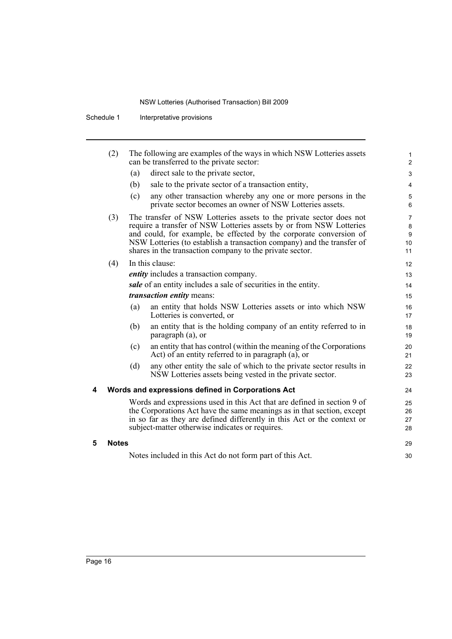|   | (2)          |     | The following are examples of the ways in which NSW Lotteries assets<br>can be transferred to the private sector:                                                                                                                                                                                                                                      | 1<br>$\overline{2}$                  |
|---|--------------|-----|--------------------------------------------------------------------------------------------------------------------------------------------------------------------------------------------------------------------------------------------------------------------------------------------------------------------------------------------------------|--------------------------------------|
|   |              | (a) | direct sale to the private sector,                                                                                                                                                                                                                                                                                                                     | 3                                    |
|   |              | (b) | sale to the private sector of a transaction entity,                                                                                                                                                                                                                                                                                                    | 4                                    |
|   |              | (c) | any other transaction whereby any one or more persons in the<br>private sector becomes an owner of NSW Lotteries assets.                                                                                                                                                                                                                               | 5<br>6                               |
|   | (3)          |     | The transfer of NSW Lotteries assets to the private sector does not<br>require a transfer of NSW Lotteries assets by or from NSW Lotteries<br>and could, for example, be effected by the corporate conversion of<br>NSW Lotteries (to establish a transaction company) and the transfer of<br>shares in the transaction company to the private sector. | $\overline{7}$<br>8<br>9<br>10<br>11 |
|   | (4)          |     | In this clause:                                                                                                                                                                                                                                                                                                                                        | 12                                   |
|   |              |     | entity includes a transaction company.                                                                                                                                                                                                                                                                                                                 | 13                                   |
|   |              |     | sale of an entity includes a sale of securities in the entity.                                                                                                                                                                                                                                                                                         | 14                                   |
|   |              |     | <i>transaction entity means:</i>                                                                                                                                                                                                                                                                                                                       | 15                                   |
|   |              | (a) | an entity that holds NSW Lotteries assets or into which NSW<br>Lotteries is converted, or                                                                                                                                                                                                                                                              | 16<br>17                             |
|   |              | (b) | an entity that is the holding company of an entity referred to in<br>paragraph (a), or                                                                                                                                                                                                                                                                 | 18<br>19                             |
|   |              | (c) | an entity that has control (within the meaning of the Corporations<br>Act) of an entity referred to in paragraph (a), or                                                                                                                                                                                                                               | 20<br>21                             |
|   |              | (d) | any other entity the sale of which to the private sector results in<br>NSW Lotteries assets being vested in the private sector.                                                                                                                                                                                                                        | 22<br>23                             |
| 4 |              |     | Words and expressions defined in Corporations Act                                                                                                                                                                                                                                                                                                      | 24                                   |
|   |              |     | Words and expressions used in this Act that are defined in section 9 of<br>the Corporations Act have the same meanings as in that section, except<br>in so far as they are defined differently in this Act or the context or<br>subject-matter otherwise indicates or requires.                                                                        | 25<br>26<br>27<br>28                 |
| 5 | <b>Notes</b> |     |                                                                                                                                                                                                                                                                                                                                                        | 29                                   |
|   |              |     | Notes included in this Act do not form part of this Act.                                                                                                                                                                                                                                                                                               | 30                                   |
|   |              |     |                                                                                                                                                                                                                                                                                                                                                        |                                      |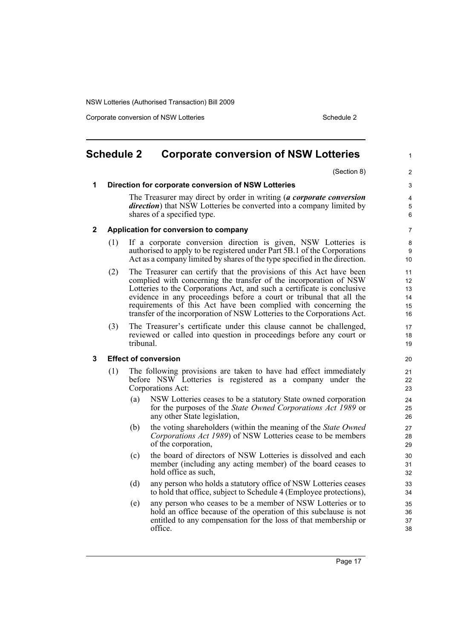Corporate conversion of NSW Lotteries Schedule 2

<span id="page-24-0"></span>

|   | <b>Schedule 2</b> |           | <b>Corporate conversion of NSW Lotteries</b>                                                                                                                                                                                                                                                                                                                                                                                             | 1                                |
|---|-------------------|-----------|------------------------------------------------------------------------------------------------------------------------------------------------------------------------------------------------------------------------------------------------------------------------------------------------------------------------------------------------------------------------------------------------------------------------------------------|----------------------------------|
|   |                   |           | (Section 8)                                                                                                                                                                                                                                                                                                                                                                                                                              | $\overline{c}$                   |
| 1 |                   |           | Direction for corporate conversion of NSW Lotteries                                                                                                                                                                                                                                                                                                                                                                                      | 3                                |
|   |                   |           | The Treasurer may direct by order in writing (a corporate conversion<br><i>direction</i> ) that NSW Lotteries be converted into a company limited by<br>shares of a specified type.                                                                                                                                                                                                                                                      | 4<br>5<br>6                      |
| 2 |                   |           | Application for conversion to company                                                                                                                                                                                                                                                                                                                                                                                                    | 7                                |
|   | (1)               |           | If a corporate conversion direction is given, NSW Lotteries is<br>authorised to apply to be registered under Part 5B.1 of the Corporations<br>Act as a company limited by shares of the type specified in the direction.                                                                                                                                                                                                                 | 8<br>9<br>10                     |
|   | (2)               |           | The Treasurer can certify that the provisions of this Act have been<br>complied with concerning the transfer of the incorporation of NSW<br>Lotteries to the Corporations Act, and such a certificate is conclusive<br>evidence in any proceedings before a court or tribunal that all the<br>requirements of this Act have been complied with concerning the<br>transfer of the incorporation of NSW Lotteries to the Corporations Act. | 11<br>12<br>13<br>14<br>15<br>16 |
|   | (3)               | tribunal. | The Treasurer's certificate under this clause cannot be challenged,<br>reviewed or called into question in proceedings before any court or                                                                                                                                                                                                                                                                                               | 17<br>18<br>19                   |
| 3 |                   |           | <b>Effect of conversion</b>                                                                                                                                                                                                                                                                                                                                                                                                              | 20                               |
|   | (1)               |           | The following provisions are taken to have had effect immediately<br>before NSW Lotteries is registered as a company under the<br>Corporations Act:                                                                                                                                                                                                                                                                                      | 21<br>22<br>23                   |
|   |                   | (a)       | NSW Lotteries ceases to be a statutory State owned corporation<br>for the purposes of the <i>State Owned Corporations Act 1989</i> or<br>any other State legislation,                                                                                                                                                                                                                                                                    | 24<br>25<br>26                   |
|   |                   | (b)       | the voting shareholders (within the meaning of the <i>State Owned</i><br>Corporations Act 1989) of NSW Lotteries cease to be members<br>of the corporation,                                                                                                                                                                                                                                                                              | 27<br>28<br>29                   |
|   |                   | (c)       | the board of directors of NSW Lotteries is dissolved and each<br>member (including any acting member) of the board ceases to<br>hold office as such,                                                                                                                                                                                                                                                                                     | 30<br>31<br>32                   |
|   |                   | (d)       | any person who holds a statutory office of NSW Lotteries ceases<br>to hold that office, subject to Schedule 4 (Employee protections),                                                                                                                                                                                                                                                                                                    | 33<br>34                         |
|   |                   | (e)       | any person who ceases to be a member of NSW Lotteries or to<br>hold an office because of the operation of this subclause is not<br>entitled to any compensation for the loss of that membership or<br>office.                                                                                                                                                                                                                            | 35<br>36<br>37<br>38             |
|   |                   |           |                                                                                                                                                                                                                                                                                                                                                                                                                                          |                                  |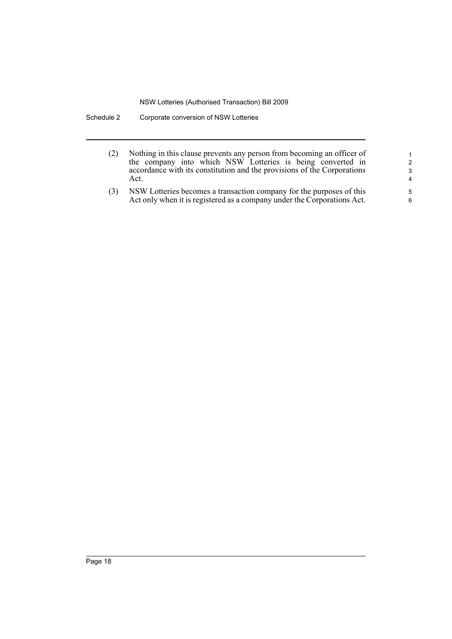- (2) Nothing in this clause prevents any person from becoming an officer of the company into which NSW Lotteries is being converted in accordance with its constitution and the provisions of the Corporations Act.
- (3) NSW Lotteries becomes a transaction company for the purposes of this Act only when it is registered as a company under the Corporations Act.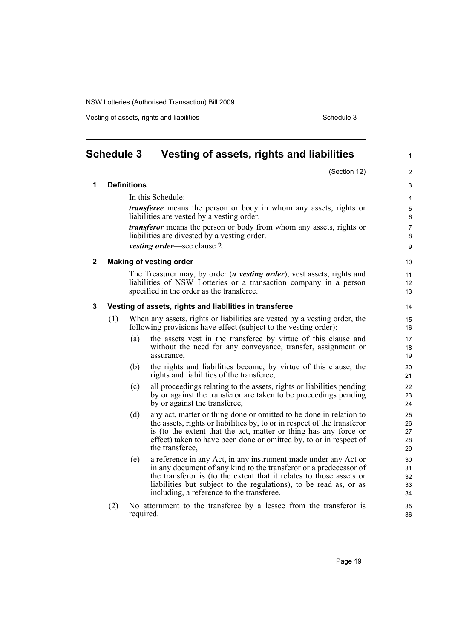Vesting of assets, rights and liabilities Schedule 3 and 120 and 120 and 130 and 130 and 130 and 130 and 130 and 130 and 130 and 130 and 130 and 130 and 130 and 130 and 130 and 130 and 130 and 130 and 130 and 130 and 130 a

(Section 12)

1

 $\overline{2}$ 

<span id="page-26-0"></span>

| <b>Schedule 3</b> | Vesting of assets, rights and liabilities |
|-------------------|-------------------------------------------|
|                   |                                           |

**1 Definitions** In this Schedule: *transferee* means the person or body in whom any assets, rights or liabilities are vested by a vesting order. *transferor* means the person or body from whom any assets, rights or liabilities are divested by a vesting order. *vesting order*—see clause 2. **2 Making of vesting order** The Treasurer may, by order (*a vesting order*), vest assets, rights and liabilities of NSW Lotteries or a transaction company in a person specified in the order as the transferee. **3 Vesting of assets, rights and liabilities in transferee** (1) When any assets, rights or liabilities are vested by a vesting order, the following provisions have effect (subject to the vesting order): (a) the assets vest in the transferee by virtue of this clause and without the need for any conveyance, transfer, assignment or assurance, (b) the rights and liabilities become, by virtue of this clause, the rights and liabilities of the transferee, (c) all proceedings relating to the assets, rights or liabilities pending by or against the transferor are taken to be proceedings pending by or against the transferee, (d) any act, matter or thing done or omitted to be done in relation to the assets, rights or liabilities by, to or in respect of the transferor is (to the extent that the act, matter or thing has any force or effect) taken to have been done or omitted by, to or in respect of the transferee, (e) a reference in any Act, in any instrument made under any Act or in any document of any kind to the transferor or a predecessor of the transferor is (to the extent that it relates to those assets or liabilities but subject to the regulations), to be read as, or as including, a reference to the transferee. (2) No attornment to the transferee by a lessee from the transferor is required. 3 4 5 6 7 8 9 10 11 12 13 14 15 16 17 18 19 20 21 22 23  $24$ 25 26 27 28 29 30 31 32 33 34 35 36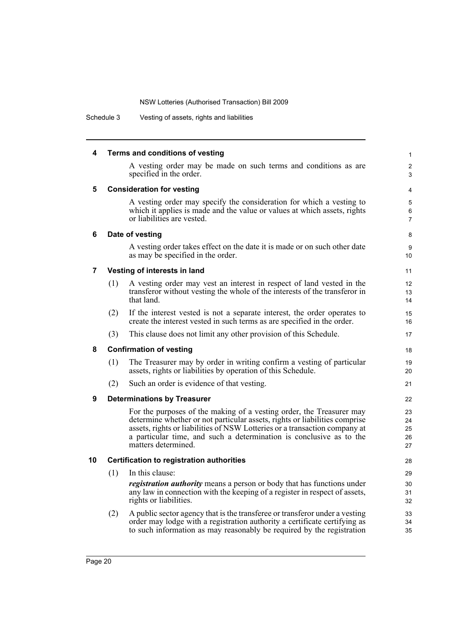| 4  |     | Terms and conditions of vesting                                                                                                                                                                                                                                                                                                | $\mathbf{1}$               |
|----|-----|--------------------------------------------------------------------------------------------------------------------------------------------------------------------------------------------------------------------------------------------------------------------------------------------------------------------------------|----------------------------|
|    |     | A vesting order may be made on such terms and conditions as are<br>specified in the order.                                                                                                                                                                                                                                     | $\overline{c}$<br>3        |
| 5  |     | <b>Consideration for vesting</b>                                                                                                                                                                                                                                                                                               | 4                          |
|    |     | A vesting order may specify the consideration for which a vesting to<br>which it applies is made and the value or values at which assets, rights<br>or liabilities are vested.                                                                                                                                                 | 5<br>6<br>$\overline{7}$   |
| 6  |     | Date of vesting                                                                                                                                                                                                                                                                                                                | 8                          |
|    |     | A vesting order takes effect on the date it is made or on such other date<br>as may be specified in the order.                                                                                                                                                                                                                 | 9<br>10                    |
| 7  |     | Vesting of interests in land                                                                                                                                                                                                                                                                                                   | 11                         |
|    | (1) | A vesting order may vest an interest in respect of land vested in the<br>transferor without vesting the whole of the interests of the transferor in<br>that land.                                                                                                                                                              | 12<br>13<br>14             |
|    | (2) | If the interest vested is not a separate interest, the order operates to<br>create the interest vested in such terms as are specified in the order.                                                                                                                                                                            | 15<br>16                   |
|    | (3) | This clause does not limit any other provision of this Schedule.                                                                                                                                                                                                                                                               | 17                         |
| 8  |     | <b>Confirmation of vesting</b>                                                                                                                                                                                                                                                                                                 | 18                         |
|    | (1) | The Treasurer may by order in writing confirm a vesting of particular<br>assets, rights or liabilities by operation of this Schedule.                                                                                                                                                                                          | 19<br>20                   |
|    | (2) | Such an order is evidence of that vesting.                                                                                                                                                                                                                                                                                     | 21                         |
| 9  |     | <b>Determinations by Treasurer</b>                                                                                                                                                                                                                                                                                             | 22                         |
|    |     | For the purposes of the making of a vesting order, the Treasurer may<br>determine whether or not particular assets, rights or liabilities comprise<br>assets, rights or liabilities of NSW Lotteries or a transaction company at<br>a particular time, and such a determination is conclusive as to the<br>matters determined. | 23<br>24<br>25<br>26<br>27 |
| 10 |     | <b>Certification to registration authorities</b>                                                                                                                                                                                                                                                                               | 28                         |
|    | (1) | In this clause:                                                                                                                                                                                                                                                                                                                | 29                         |
|    |     | <i>registration authority</i> means a person or body that has functions under<br>any law in connection with the keeping of a register in respect of assets,<br>rights or liabilities.                                                                                                                                          | 30<br>31<br>32             |
|    | (2) | A public sector agency that is the transferee or transferor under a vesting<br>order may lodge with a registration authority a certificate certifying as<br>to such information as may reasonably be required by the registration                                                                                              | 33<br>34<br>35             |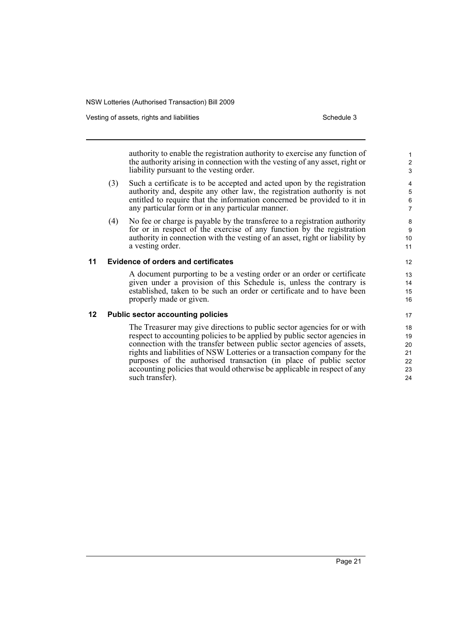Vesting of assets, rights and liabilities **Schedule 3** Schedule 3

authority to enable the registration authority to exercise any function of the authority arising in connection with the vesting of any asset, right or liability pursuant to the vesting order.

- (3) Such a certificate is to be accepted and acted upon by the registration authority and, despite any other law, the registration authority is not entitled to require that the information concerned be provided to it in any particular form or in any particular manner.
- (4) No fee or charge is payable by the transferee to a registration authority for or in respect of the exercise of any function by the registration authority in connection with the vesting of an asset, right or liability by a vesting order.

### **11 Evidence of orders and certificates**

A document purporting to be a vesting order or an order or certificate given under a provision of this Schedule is, unless the contrary is established, taken to be such an order or certificate and to have been properly made or given.

### **12 Public sector accounting policies**

The Treasurer may give directions to public sector agencies for or with respect to accounting policies to be applied by public sector agencies in connection with the transfer between public sector agencies of assets, rights and liabilities of NSW Lotteries or a transaction company for the purposes of the authorised transaction (in place of public sector accounting policies that would otherwise be applicable in respect of any such transfer).

12

13 14 15

16 17

18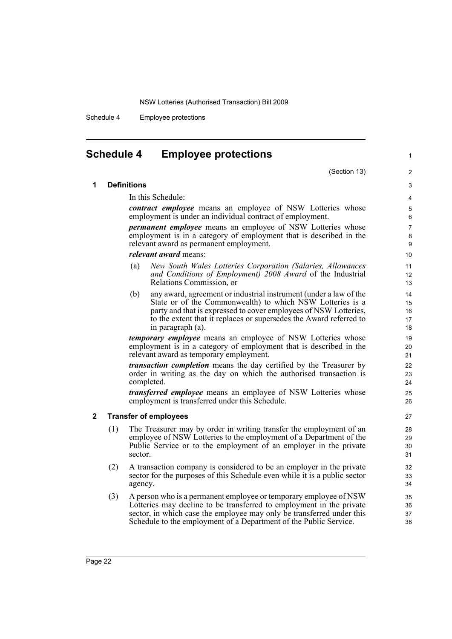Schedule 4 Employee protections

In this Schedule:

*relevant award* means:

**1 Definitions**

## <span id="page-29-0"></span>**Schedule 4 Employee protections**

(Section 13)

1

# employment is in a category of employment that is described in the

(a) *New South Wales Lotteries Corporation (Salaries, Allowances and Conditions of Employment) 2008 Award* of the Industrial Relations Commission, or

*contract employee* means an employee of NSW Lotteries whose

*permanent employee* means an employee of NSW Lotteries whose

employment is under an individual contract of employment.

relevant award as permanent employment.

(b) any award, agreement or industrial instrument (under a law of the State or of the Commonwealth) to which NSW Lotteries is a party and that is expressed to cover employees of NSW Lotteries, to the extent that it replaces or supersedes the Award referred to in paragraph (a).

*temporary employee* means an employee of NSW Lotteries whose employment is in a category of employment that is described in the relevant award as temporary employment.

*transaction completion* means the day certified by the Treasurer by order in writing as the day on which the authorised transaction is completed.

*transferred employee* means an employee of NSW Lotteries whose employment is transferred under this Schedule.

### **2 Transfer of employees**

- (1) The Treasurer may by order in writing transfer the employment of an employee of NSW Lotteries to the employment of a Department of the Public Service or to the employment of an employer in the private sector.
- (2) A transaction company is considered to be an employer in the private sector for the purposes of this Schedule even while it is a public sector agency.
- (3) A person who is a permanent employee or temporary employee of NSW Lotteries may decline to be transferred to employment in the private sector, in which case the employee may only be transferred under this Schedule to the employment of a Department of the Public Service.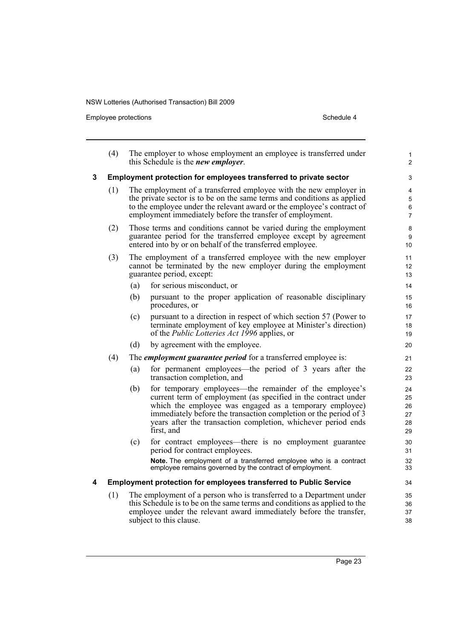Employee protections and the set of the Schedule 4 Schedule 4

|   | (4) |     | The employer to whose employment an employee is transferred under<br>this Schedule is the <i>new employer</i> .                                                                                                                                                                                                                         | 1<br>$\overline{2}$                 |
|---|-----|-----|-----------------------------------------------------------------------------------------------------------------------------------------------------------------------------------------------------------------------------------------------------------------------------------------------------------------------------------------|-------------------------------------|
| 3 |     |     | Employment protection for employees transferred to private sector                                                                                                                                                                                                                                                                       | 3                                   |
|   | (1) |     | The employment of a transferred employee with the new employer in<br>the private sector is to be on the same terms and conditions as applied<br>to the employee under the relevant award or the employee's contract of<br>employment immediately before the transfer of employment.                                                     | 4<br>5<br>$\,6\,$<br>$\overline{7}$ |
|   | (2) |     | Those terms and conditions cannot be varied during the employment<br>guarantee period for the transferred employee except by agreement<br>entered into by or on behalf of the transferred employee.                                                                                                                                     | 8<br>9<br>10 <sup>°</sup>           |
|   | (3) |     | The employment of a transferred employee with the new employer<br>cannot be terminated by the new employer during the employment<br>guarantee period, except:                                                                                                                                                                           | 11<br>12<br>13                      |
|   |     | (a) | for serious misconduct, or                                                                                                                                                                                                                                                                                                              | 14                                  |
|   |     | (b) | pursuant to the proper application of reasonable disciplinary<br>procedures, or                                                                                                                                                                                                                                                         | 15<br>16                            |
|   |     | (c) | pursuant to a direction in respect of which section 57 (Power to<br>terminate employment of key employee at Minister's direction)<br>of the <i>Public Lotteries Act 1996</i> applies, or                                                                                                                                                | 17<br>18<br>19                      |
|   |     | (d) | by agreement with the employee.                                                                                                                                                                                                                                                                                                         | 20                                  |
|   | (4) |     | The <i>employment guarantee period</i> for a transferred employee is:                                                                                                                                                                                                                                                                   | 21                                  |
|   |     | (a) | for permanent employees—the period of 3 years after the<br>transaction completion, and                                                                                                                                                                                                                                                  | 22<br>23                            |
|   |     | (b) | for temporary employees—the remainder of the employee's<br>current term of employment (as specified in the contract under<br>which the employee was engaged as a temporary employee)<br>immediately before the transaction completion or the period of 3<br>years after the transaction completion, whichever period ends<br>first, and | 24<br>25<br>26<br>27<br>28<br>29    |
|   |     | (c) | for contract employees—there is no employment guarantee<br>period for contract employees.                                                                                                                                                                                                                                               | 30<br>31                            |
|   |     |     | Note. The employment of a transferred employee who is a contract<br>employee remains governed by the contract of employment.                                                                                                                                                                                                            | 32<br>33                            |
| 4 |     |     | <b>Employment protection for employees transferred to Public Service</b>                                                                                                                                                                                                                                                                | 34                                  |
|   | (1) |     | The employment of a person who is transferred to a Department under<br>this Schedule is to be on the same terms and conditions as applied to the<br>employee under the relevant award immediately before the transfer,<br>subject to this clause.                                                                                       | 35<br>36<br>37<br>38                |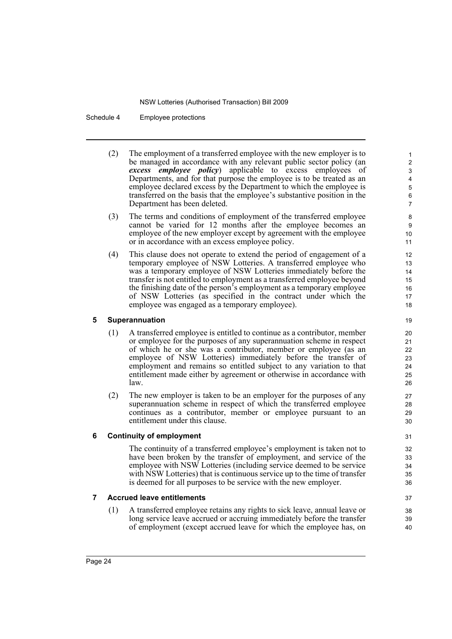Schedule 4 Employee protections

- (2) The employment of a transferred employee with the new employer is to be managed in accordance with any relevant public sector policy (an *excess employee policy*) applicable to excess employees of Departments, and for that purpose the employee is to be treated as an employee declared excess by the Department to which the employee is transferred on the basis that the employee's substantive position in the Department has been deleted.
- (3) The terms and conditions of employment of the transferred employee cannot be varied for 12 months after the employee becomes an employee of the new employer except by agreement with the employee or in accordance with an excess employee policy.
- (4) This clause does not operate to extend the period of engagement of a temporary employee of NSW Lotteries. A transferred employee who was a temporary employee of NSW Lotteries immediately before the transfer is not entitled to employment as a transferred employee beyond the finishing date of the person's employment as a temporary employee of NSW Lotteries (as specified in the contract under which the employee was engaged as a temporary employee).

### **5 Superannuation**

- (1) A transferred employee is entitled to continue as a contributor, member or employee for the purposes of any superannuation scheme in respect of which he or she was a contributor, member or employee (as an employee of NSW Lotteries) immediately before the transfer of employment and remains so entitled subject to any variation to that entitlement made either by agreement or otherwise in accordance with law.
- (2) The new employer is taken to be an employer for the purposes of any superannuation scheme in respect of which the transferred employee continues as a contributor, member or employee pursuant to an entitlement under this clause.

### **6 Continuity of employment**

The continuity of a transferred employee's employment is taken not to have been broken by the transfer of employment, and service of the employee with NSW Lotteries (including service deemed to be service with NSW Lotteries) that is continuous service up to the time of transfer is deemed for all purposes to be service with the new employer.

### **7 Accrued leave entitlements**

(1) A transferred employee retains any rights to sick leave, annual leave or long service leave accrued or accruing immediately before the transfer of employment (except accrued leave for which the employee has, on

38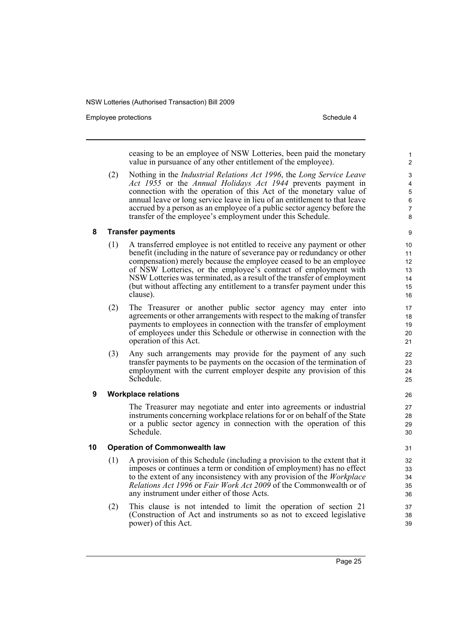Employee protections and the state of the state of the Schedule 4 and the Schedule 4

ceasing to be an employee of NSW Lotteries, been paid the monetary value in pursuance of any other entitlement of the employee).

(2) Nothing in the *Industrial Relations Act 1996*, the *Long Service Leave Act 1955* or the *Annual Holidays Act 1944* prevents payment in connection with the operation of this Act of the monetary value of annual leave or long service leave in lieu of an entitlement to that leave accrued by a person as an employee of a public sector agency before the transfer of the employee's employment under this Schedule.

### **8 Transfer payments**

- (1) A transferred employee is not entitled to receive any payment or other benefit (including in the nature of severance pay or redundancy or other compensation) merely because the employee ceased to be an employee of NSW Lotteries, or the employee's contract of employment with NSW Lotteries was terminated, as a result of the transfer of employment (but without affecting any entitlement to a transfer payment under this clause).
- (2) The Treasurer or another public sector agency may enter into agreements or other arrangements with respect to the making of transfer payments to employees in connection with the transfer of employment of employees under this Schedule or otherwise in connection with the operation of this Act.
- (3) Any such arrangements may provide for the payment of any such transfer payments to be payments on the occasion of the termination of employment with the current employer despite any provision of this Schedule.

### **9 Workplace relations**

The Treasurer may negotiate and enter into agreements or industrial instruments concerning workplace relations for or on behalf of the State or a public sector agency in connection with the operation of this Schedule.

### **10 Operation of Commonwealth law**

- (1) A provision of this Schedule (including a provision to the extent that it imposes or continues a term or condition of employment) has no effect to the extent of any inconsistency with any provision of the *Workplace Relations Act 1996* or *Fair Work Act 2009* of the Commonwealth or of any instrument under either of those Acts.
- (2) This clause is not intended to limit the operation of section 21 (Construction of Act and instruments so as not to exceed legislative power) of this Act.

Page 25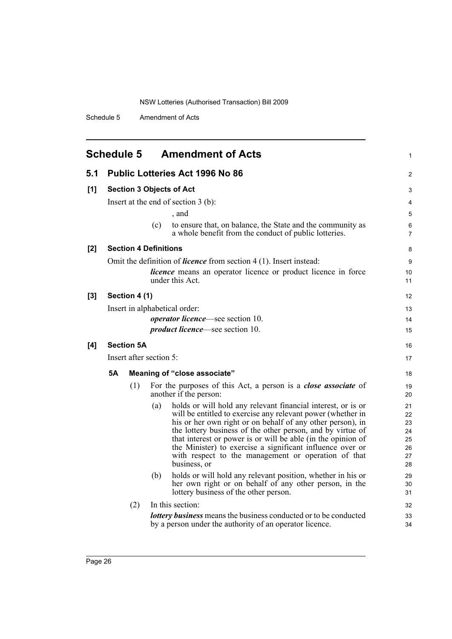Schedule 5 Amendment of Acts

<span id="page-33-0"></span>

|     | <b>Schedule 5</b><br><b>Amendment of Acts</b><br>$\mathbf{1}$ |                   |                                                                                                                                           |          |  |  |  |
|-----|---------------------------------------------------------------|-------------------|-------------------------------------------------------------------------------------------------------------------------------------------|----------|--|--|--|
| 5.1 |                                                               |                   | <b>Public Lotteries Act 1996 No 86</b>                                                                                                    | 2        |  |  |  |
| [1] | <b>Section 3 Objects of Act</b>                               |                   |                                                                                                                                           |          |  |  |  |
|     |                                                               |                   | Insert at the end of section $3$ (b):                                                                                                     | 4        |  |  |  |
|     |                                                               |                   | , and                                                                                                                                     | 5        |  |  |  |
|     |                                                               |                   | to ensure that, on balance, the State and the community as<br>(c)<br>a whole benefit from the conduct of public lotteries.                | 6<br>7   |  |  |  |
| [2] |                                                               |                   | <b>Section 4 Definitions</b>                                                                                                              | 8        |  |  |  |
|     |                                                               |                   | Omit the definition of <i>licence</i> from section $4(1)$ . Insert instead:                                                               | 9        |  |  |  |
|     |                                                               |                   | <i>licence</i> means an operator licence or product licence in force<br>under this Act.                                                   | 10<br>11 |  |  |  |
| [3] |                                                               | Section 4 (1)     |                                                                                                                                           | 12       |  |  |  |
|     |                                                               |                   | Insert in alphabetical order:                                                                                                             | 13       |  |  |  |
|     |                                                               |                   | <i>operator licence</i> —see section 10.                                                                                                  | 14       |  |  |  |
|     |                                                               |                   | <i>product licence</i> —see section 10.                                                                                                   | 15       |  |  |  |
| [4] |                                                               | <b>Section 5A</b> |                                                                                                                                           | 16       |  |  |  |
|     |                                                               |                   | Insert after section 5:                                                                                                                   | 17       |  |  |  |
|     | <b>5A</b>                                                     |                   | Meaning of "close associate"                                                                                                              | 18       |  |  |  |
|     |                                                               | (1)               | For the purposes of this Act, a person is a <i>close associate</i> of<br>another if the person:                                           | 19<br>20 |  |  |  |
|     |                                                               |                   | holds or will hold any relevant financial interest, or is or<br>(a)                                                                       | 21       |  |  |  |
|     |                                                               |                   | will be entitled to exercise any relevant power (whether in<br>his or her own right or on behalf of any other person), in                 | 22<br>23 |  |  |  |
|     |                                                               |                   | the lottery business of the other person, and by virtue of                                                                                | 24       |  |  |  |
|     |                                                               |                   | that interest or power is or will be able (in the opinion of                                                                              | 25       |  |  |  |
|     |                                                               |                   | the Minister) to exercise a significant influence over or                                                                                 | 26       |  |  |  |
|     |                                                               |                   | with respect to the management or operation of that<br>business, or                                                                       | 27<br>28 |  |  |  |
|     |                                                               |                   | holds or will hold any relevant position, whether in his or<br>(b)                                                                        | 29       |  |  |  |
|     |                                                               |                   | her own right or on behalf of any other person, in the<br>lottery business of the other person.                                           | 30<br>31 |  |  |  |
|     |                                                               | (2)               | In this section:                                                                                                                          | 32       |  |  |  |
|     |                                                               |                   | <b><i>lottery business</i></b> means the business conducted or to be conducted<br>by a person under the authority of an operator licence. | 33<br>34 |  |  |  |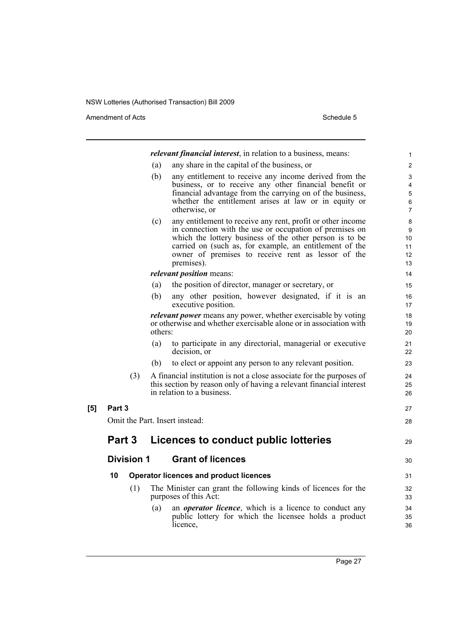Amendment of Acts Schedule 5

|     |        |                   |         | <i>relevant financial interest</i> , in relation to a business, means:                                             | 1              |
|-----|--------|-------------------|---------|--------------------------------------------------------------------------------------------------------------------|----------------|
|     |        |                   | (a)     | any share in the capital of the business, or                                                                       | $\overline{c}$ |
|     |        |                   | (b)     | any entitlement to receive any income derived from the                                                             | 3              |
|     |        |                   |         | business, or to receive any other financial benefit or                                                             | 4              |
|     |        |                   |         | financial advantage from the carrying on of the business,<br>whether the entitlement arises at law or in equity or | 5<br>6         |
|     |        |                   |         | otherwise, or                                                                                                      | $\overline{7}$ |
|     |        |                   | (c)     | any entitlement to receive any rent, profit or other income                                                        | 8              |
|     |        |                   |         | in connection with the use or occupation of premises on<br>which the lottery business of the other person is to be | 9<br>10        |
|     |        |                   |         | carried on (such as, for example, an entitlement of the                                                            | 11             |
|     |        |                   |         | owner of premises to receive rent as lessor of the                                                                 | 12             |
|     |        |                   |         | premises).                                                                                                         | 13             |
|     |        |                   |         | <i>relevant position</i> means:                                                                                    | 14             |
|     |        |                   | (a)     | the position of director, manager or secretary, or                                                                 | 15             |
|     |        |                   | (b)     | any other position, however designated, if it is an<br>executive position.                                         | 16<br>17       |
|     |        |                   |         | <i>relevant power</i> means any power, whether exercisable by voting                                               | 18             |
|     |        |                   | others: | or otherwise and whether exercisable alone or in association with                                                  | 19<br>20       |
|     |        |                   | (a)     | to participate in any directorial, managerial or executive<br>decision, or                                         | 21<br>22       |
|     |        |                   | (b)     | to elect or appoint any person to any relevant position.                                                           | 23             |
|     |        | (3)               |         | A financial institution is not a close associate for the purposes of                                               | 24             |
|     |        |                   |         | this section by reason only of having a relevant financial interest                                                | 25             |
|     |        |                   |         | in relation to a business.                                                                                         | 26             |
| [5] | Part 3 |                   |         |                                                                                                                    | 27             |
|     |        |                   |         | Omit the Part. Insert instead:                                                                                     | 28             |
|     | Part 3 |                   |         | Licences to conduct public lotteries                                                                               | 29             |
|     |        |                   |         |                                                                                                                    |                |
|     |        | <b>Division 1</b> |         | <b>Grant of licences</b>                                                                                           | 30             |
|     | 10     |                   |         | <b>Operator licences and product licences</b>                                                                      | 31             |
|     |        | (1)               |         | The Minister can grant the following kinds of licences for the<br>purposes of this Act:                            | 32<br>33       |
|     |        |                   | (a)     | an <i>operator licence</i> , which is a licence to conduct any                                                     | 34             |
|     |        |                   |         | public lottery for which the licensee holds a product<br>licence,                                                  | 35<br>36       |
|     |        |                   |         |                                                                                                                    |                |

Page 27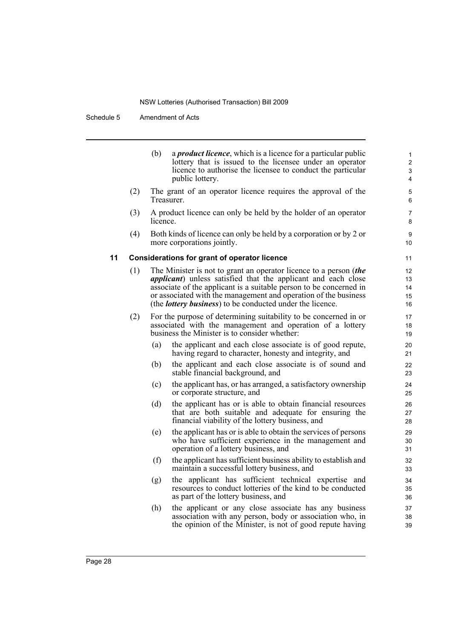Schedule 5 Amendment of Acts

|    |     | (b)      | a <i>product licence</i> , which is a licence for a particular public<br>lottery that is issued to the licensee under an operator<br>licence to authorise the licensee to conduct the particular<br>public lottery.                                                                                                                                      | 1<br>2<br>3<br>4           |
|----|-----|----------|----------------------------------------------------------------------------------------------------------------------------------------------------------------------------------------------------------------------------------------------------------------------------------------------------------------------------------------------------------|----------------------------|
|    | (2) |          | The grant of an operator licence requires the approval of the<br>Treasurer.                                                                                                                                                                                                                                                                              | 5<br>6                     |
|    | (3) | licence. | A product licence can only be held by the holder of an operator                                                                                                                                                                                                                                                                                          | $\overline{7}$<br>8        |
|    | (4) |          | Both kinds of licence can only be held by a corporation or by 2 or<br>more corporations jointly.                                                                                                                                                                                                                                                         | 9<br>10                    |
| 11 |     |          | <b>Considerations for grant of operator licence</b>                                                                                                                                                                                                                                                                                                      | 11                         |
|    | (1) |          | The Minister is not to grant an operator licence to a person (the<br><i>applicant</i> ) unless satisfied that the applicant and each close<br>associate of the applicant is a suitable person to be concerned in<br>or associated with the management and operation of the business<br>(the <i>lottery business</i> ) to be conducted under the licence. | 12<br>13<br>14<br>15<br>16 |
|    | (2) |          | For the purpose of determining suitability to be concerned in or<br>associated with the management and operation of a lottery<br>business the Minister is to consider whether:                                                                                                                                                                           | 17<br>18<br>19             |
|    |     | (a)      | the applicant and each close associate is of good repute,<br>having regard to character, honesty and integrity, and                                                                                                                                                                                                                                      | 20<br>21                   |
|    |     | (b)      | the applicant and each close associate is of sound and<br>stable financial background, and                                                                                                                                                                                                                                                               | 22<br>23                   |
|    |     | (c)      | the applicant has, or has arranged, a satisfactory ownership<br>or corporate structure, and                                                                                                                                                                                                                                                              | 24<br>25                   |
|    |     | (d)      | the applicant has or is able to obtain financial resources<br>that are both suitable and adequate for ensuring the<br>financial viability of the lottery business, and                                                                                                                                                                                   | 26<br>27<br>28             |
|    |     | (e)      | the applicant has or is able to obtain the services of persons<br>who have sufficient experience in the management and<br>operation of a lottery business, and                                                                                                                                                                                           | 29<br>30<br>31             |
|    |     | (f)      | the applicant has sufficient business ability to establish and<br>maintain a successful lottery business, and                                                                                                                                                                                                                                            | 32<br>33                   |
|    |     | (g)      | the applicant has sufficient technical expertise and<br>resources to conduct lotteries of the kind to be conducted<br>as part of the lottery business, and                                                                                                                                                                                               | 34<br>35<br>36             |
|    |     | (h)      | the applicant or any close associate has any business<br>association with any person, body or association who, in<br>the opinion of the Minister, is not of good repute having                                                                                                                                                                           | 37<br>38<br>39             |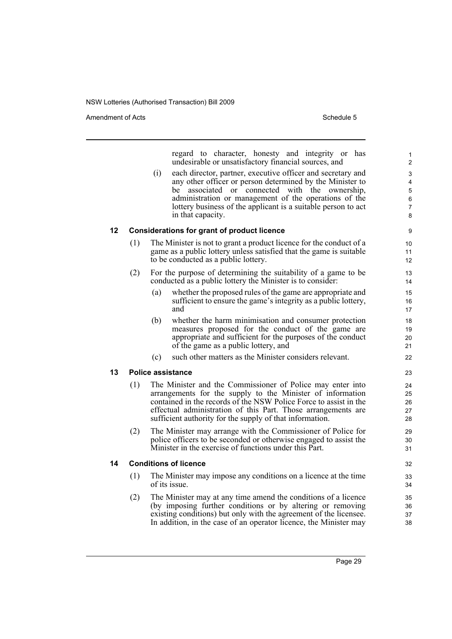Amendment of Acts **Schedule 5** and the set of Acts Schedule 5

regard to character, honesty and integrity or has undesirable or unsatisfactory financial sources, and

(i) each director, partner, executive officer and secretary and any other officer or person determined by the Minister to be associated or connected with the ownership, administration or management of the operations of the lottery business of the applicant is a suitable person to act in that capacity.

### **12 Considerations for grant of product licence**

- (1) The Minister is not to grant a product licence for the conduct of a game as a public lottery unless satisfied that the game is suitable to be conducted as a public lottery.
- (2) For the purpose of determining the suitability of a game to be conducted as a public lottery the Minister is to consider:
	- (a) whether the proposed rules of the game are appropriate and sufficient to ensure the game's integrity as a public lottery, and
	- (b) whether the harm minimisation and consumer protection measures proposed for the conduct of the game are appropriate and sufficient for the purposes of the conduct of the game as a public lottery, and
	- (c) such other matters as the Minister considers relevant.

### **13 Police assistance**

- (1) The Minister and the Commissioner of Police may enter into arrangements for the supply to the Minister of information contained in the records of the NSW Police Force to assist in the effectual administration of this Part. Those arrangements are sufficient authority for the supply of that information.
- (2) The Minister may arrange with the Commissioner of Police for police officers to be seconded or otherwise engaged to assist the Minister in the exercise of functions under this Part.

### **14 Conditions of licence**

- (1) The Minister may impose any conditions on a licence at the time of its issue.
- (2) The Minister may at any time amend the conditions of a licence (by imposing further conditions or by altering or removing existing conditions) but only with the agreement of the licensee. In addition, in the case of an operator licence, the Minister may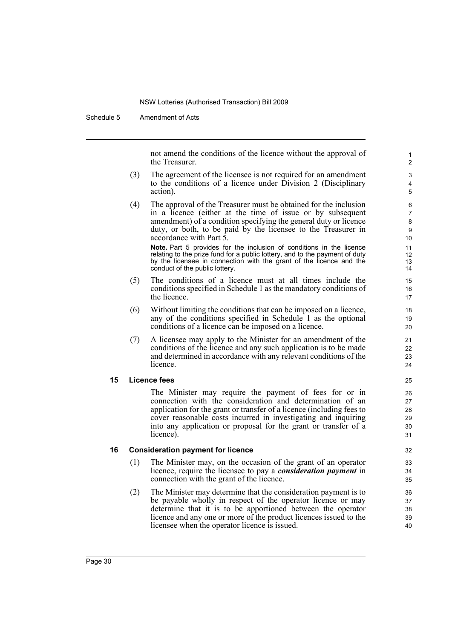Schedule 5 Amendment of Acts

not amend the conditions of the licence without the approval of the Treasurer.

- (3) The agreement of the licensee is not required for an amendment to the conditions of a licence under Division 2 (Disciplinary action).
- (4) The approval of the Treasurer must be obtained for the inclusion in a licence (either at the time of issue or by subsequent amendment) of a condition specifying the general duty or licence duty, or both, to be paid by the licensee to the Treasurer in accordance with Part 5.

**Note.** Part 5 provides for the inclusion of conditions in the licence relating to the prize fund for a public lottery, and to the payment of duty by the licensee in connection with the grant of the licence and the conduct of the public lottery.

- (5) The conditions of a licence must at all times include the conditions specified in Schedule 1 as the mandatory conditions of the licence.
- (6) Without limiting the conditions that can be imposed on a licence, any of the conditions specified in Schedule 1 as the optional conditions of a licence can be imposed on a licence.
- (7) A licensee may apply to the Minister for an amendment of the conditions of the licence and any such application is to be made and determined in accordance with any relevant conditions of the licence.

### **15 Licence fees**

The Minister may require the payment of fees for or in connection with the consideration and determination of an application for the grant or transfer of a licence (including fees to cover reasonable costs incurred in investigating and inquiring into any application or proposal for the grant or transfer of a licence).

### **16 Consideration payment for licence**

- (1) The Minister may, on the occasion of the grant of an operator licence, require the licensee to pay a *consideration payment* in connection with the grant of the licence.
- (2) The Minister may determine that the consideration payment is to be payable wholly in respect of the operator licence or may determine that it is to be apportioned between the operator licence and any one or more of the product licences issued to the licensee when the operator licence is issued.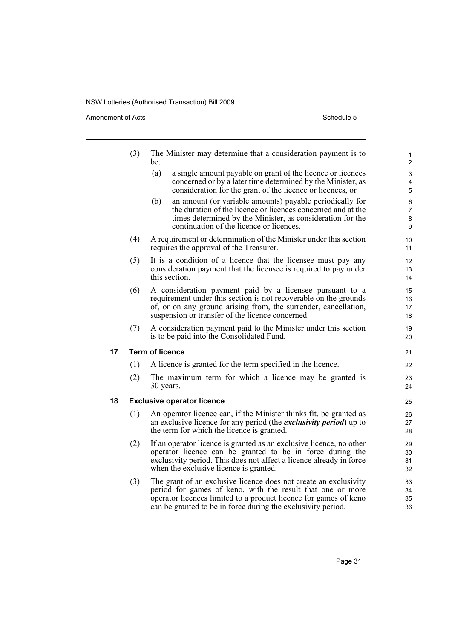Amendment of Acts Schedule 5

**17 Term of licence**

|    | (3) | The Minister may determine that a consideration payment is to<br>be:                                                                                                                                                                                | 1<br>2                        |
|----|-----|-----------------------------------------------------------------------------------------------------------------------------------------------------------------------------------------------------------------------------------------------------|-------------------------------|
|    |     | (a)<br>a single amount payable on grant of the licence or licences<br>concerned or by a later time determined by the Minister, as<br>consideration for the grant of the licence or licences, or                                                     | 3<br>4<br>5                   |
|    |     | an amount (or variable amounts) payable periodically for<br>(b)<br>the duration of the licence or licences concerned and at the<br>times determined by the Minister, as consideration for the<br>continuation of the licence or licences.           | 6<br>$\overline{7}$<br>8<br>9 |
|    | (4) | A requirement or determination of the Minister under this section<br>requires the approval of the Treasurer.                                                                                                                                        | 10<br>11                      |
|    | (5) | It is a condition of a licence that the licensee must pay any<br>consideration payment that the licensee is required to pay under<br>this section.                                                                                                  | 12<br>13<br>14                |
|    | (6) | A consideration payment paid by a licensee pursuant to a<br>requirement under this section is not recoverable on the grounds<br>of, or on any ground arising from, the surrender, cancellation,<br>suspension or transfer of the licence concerned. | 15<br>16<br>17<br>18          |
|    | (7) | A consideration payment paid to the Minister under this section<br>is to be paid into the Consolidated Fund.                                                                                                                                        | 19<br>20                      |
| 17 |     | <b>Term of licence</b>                                                                                                                                                                                                                              | 21                            |
|    | (1) | A licence is granted for the term specified in the licence.                                                                                                                                                                                         | 22                            |
|    | (2) | The maximum term for which a licence may be granted is<br>30 years.                                                                                                                                                                                 | 23<br>24                      |
| 18 |     | <b>Exclusive operator licence</b>                                                                                                                                                                                                                   | 25                            |
|    | (1) | An operator licence can, if the Minister thinks fit, be granted as<br>an exclusive licence for any period (the <i>exclusivity period</i> ) up to<br>the term for which the licence is granted.                                                      | 26<br>27<br>28                |
|    | (2) | If an operator licence is granted as an exclusive licence, no other<br>operator licence can be granted to be in force during the<br>exclusivity period. This does not affect a licence already in force<br>when the exclusive licence is granted.   | 29<br>30<br>31<br>32          |
|    | (3) | The grant of an exclusive licence does not create an exclusivity<br>period for games of keno, with the result that one or more<br>operator licences limited to a product licence for games of keno                                                  | 33<br>34<br>35                |

can be granted to be in force during the exclusivity period.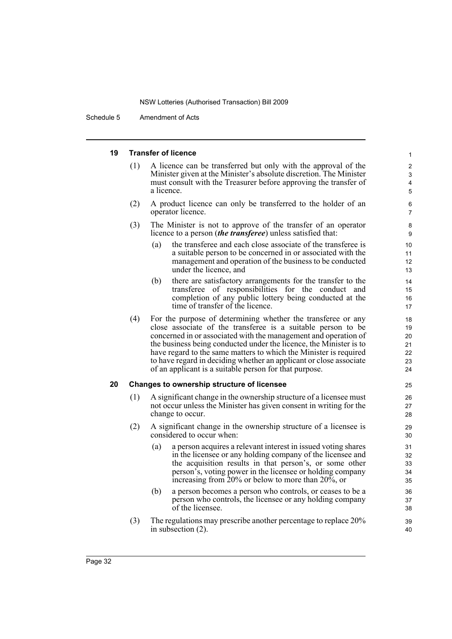Schedule 5 Amendment of Acts

### **19 Transfer of licence**

(1) A licence can be transferred but only with the approval of the Minister given at the Minister's absolute discretion. The Minister must consult with the Treasurer before approving the transfer of a licence.

- (2) A product licence can only be transferred to the holder of an operator licence.
- (3) The Minister is not to approve of the transfer of an operator licence to a person (*the transferee*) unless satisfied that:
	- (a) the transferee and each close associate of the transferee is a suitable person to be concerned in or associated with the management and operation of the business to be conducted under the licence, and
	- (b) there are satisfactory arrangements for the transfer to the transferee of responsibilities for the conduct and completion of any public lottery being conducted at the time of transfer of the licence.
- (4) For the purpose of determining whether the transferee or any close associate of the transferee is a suitable person to be concerned in or associated with the management and operation of the business being conducted under the licence, the Minister is to have regard to the same matters to which the Minister is required to have regard in deciding whether an applicant or close associate of an applicant is a suitable person for that purpose.

### **20 Changes to ownership structure of licensee**

- (1) A significant change in the ownership structure of a licensee must not occur unless the Minister has given consent in writing for the change to occur.
- (2) A significant change in the ownership structure of a licensee is considered to occur when:
	- (a) a person acquires a relevant interest in issued voting shares in the licensee or any holding company of the licensee and the acquisition results in that person's, or some other person's, voting power in the licensee or holding company increasing from 20% or below to more than 20%, or
	- (b) a person becomes a person who controls, or ceases to be a person who controls, the licensee or any holding company of the licensee.
- (3) The regulations may prescribe another percentage to replace 20% in subsection (2).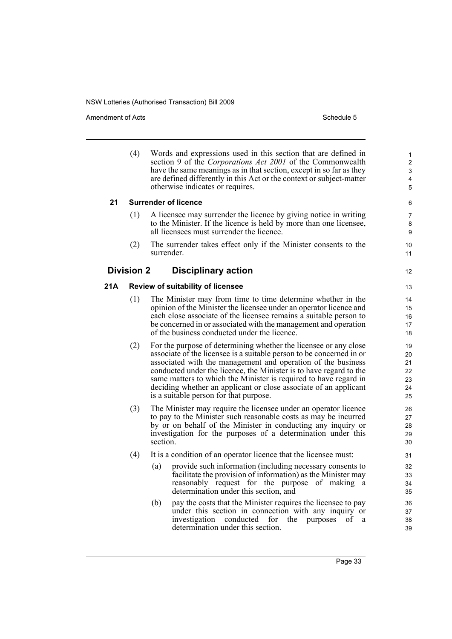Amendment of Acts **Schedule 5** and the set of Acts Schedule 5

12

(4) Words and expressions used in this section that are defined in section 9 of the *Corporations Act 2001* of the Commonwealth have the same meanings as in that section, except in so far as they are defined differently in this Act or the context or subject-matter otherwise indicates or requires.

### **21 Surrender of licence**

- (1) A licensee may surrender the licence by giving notice in writing to the Minister. If the licence is held by more than one licensee, all licensees must surrender the licence.
- (2) The surrender takes effect only if the Minister consents to the surrender.

### **Division 2 Disciplinary action**

### **21A Review of suitability of licensee**

- (1) The Minister may from time to time determine whether in the opinion of the Minister the licensee under an operator licence and each close associate of the licensee remains a suitable person to be concerned in or associated with the management and operation of the business conducted under the licence.
- (2) For the purpose of determining whether the licensee or any close associate of the licensee is a suitable person to be concerned in or associated with the management and operation of the business conducted under the licence, the Minister is to have regard to the same matters to which the Minister is required to have regard in deciding whether an applicant or close associate of an applicant is a suitable person for that purpose.
- (3) The Minister may require the licensee under an operator licence to pay to the Minister such reasonable costs as may be incurred by or on behalf of the Minister in conducting any inquiry or investigation for the purposes of a determination under this section.
- (4) It is a condition of an operator licence that the licensee must:
	- (a) provide such information (including necessary consents to facilitate the provision of information) as the Minister may reasonably request for the purpose of making a determination under this section, and
	- (b) pay the costs that the Minister requires the licensee to pay under this section in connection with any inquiry or investigation conducted for the purposes of determination under this section.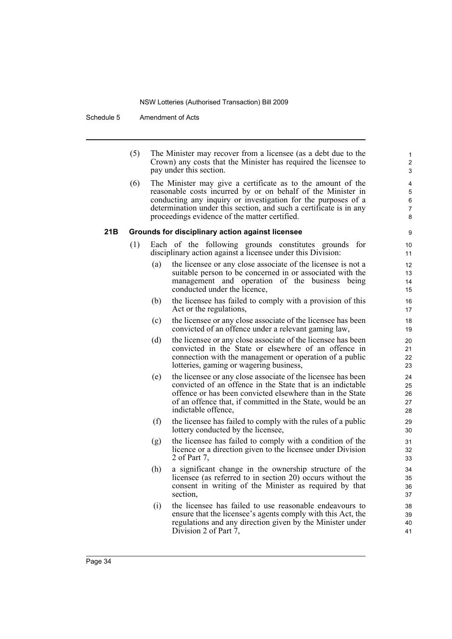Schedule 5 Amendment of Acts

(5) The Minister may recover from a licensee (as a debt due to the Crown) any costs that the Minister has required the licensee to pay under this section.

(6) The Minister may give a certificate as to the amount of the reasonable costs incurred by or on behalf of the Minister in conducting any inquiry or investigation for the purposes of a determination under this section, and such a certificate is in any proceedings evidence of the matter certified.

### **21B Grounds for disciplinary action against licensee**

- (1) Each of the following grounds constitutes grounds for disciplinary action against a licensee under this Division:
	- (a) the licensee or any close associate of the licensee is not a suitable person to be concerned in or associated with the management and operation of the business being conducted under the licence,
	- (b) the licensee has failed to comply with a provision of this Act or the regulations,
	- (c) the licensee or any close associate of the licensee has been convicted of an offence under a relevant gaming law,
	- (d) the licensee or any close associate of the licensee has been convicted in the State or elsewhere of an offence in connection with the management or operation of a public lotteries, gaming or wagering business,
	- (e) the licensee or any close associate of the licensee has been convicted of an offence in the State that is an indictable offence or has been convicted elsewhere than in the State of an offence that, if committed in the State, would be an indictable offence,
	- (f) the licensee has failed to comply with the rules of a public lottery conducted by the licensee,
	- (g) the licensee has failed to comply with a condition of the licence or a direction given to the licensee under Division 2 of Part 7,
	- (h) a significant change in the ownership structure of the licensee (as referred to in section 20) occurs without the consent in writing of the Minister as required by that section,
	- (i) the licensee has failed to use reasonable endeavours to ensure that the licensee's agents comply with this Act, the regulations and any direction given by the Minister under Division 2 of Part 7,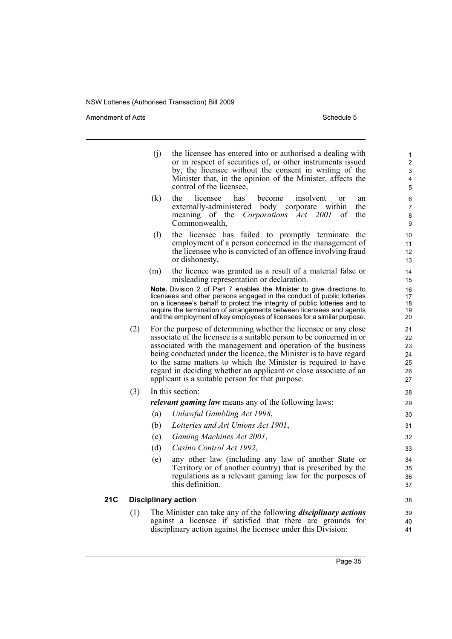Amendment of Acts Schedule 5

|     |     | (i) | the licensee has entered into or authorised a dealing with<br>or in respect of securities of, or other instruments issued<br>by, the licensee without the consent in writing of the<br>Minister that, in the opinion of the Minister, affects the<br>control of the licensee,                                                                                                                                                                                          | 1<br>$\overline{c}$<br>3<br>4<br>5     |
|-----|-----|-----|------------------------------------------------------------------------------------------------------------------------------------------------------------------------------------------------------------------------------------------------------------------------------------------------------------------------------------------------------------------------------------------------------------------------------------------------------------------------|----------------------------------------|
|     |     | (k) | the<br>licensee<br>has<br>become<br>insolvent<br><sub>or</sub><br>an<br>externally-administered body<br>corporate within<br>the<br>of the<br>Act 2001<br>the<br>meaning<br>Corporations<br>οf<br>Commonwealth,                                                                                                                                                                                                                                                         | 6<br>$\overline{7}$<br>8<br>9          |
|     |     | (1) | the licensee has failed to promptly terminate the<br>employment of a person concerned in the management of<br>the licensee who is convicted of an offence involving fraud<br>or dishonesty,                                                                                                                                                                                                                                                                            | 10<br>11<br>12<br>13                   |
|     |     | (m) | the licence was granted as a result of a material false or<br>misleading representation or declaration.                                                                                                                                                                                                                                                                                                                                                                | 14<br>15                               |
|     |     |     | Note. Division 2 of Part 7 enables the Minister to give directions to<br>licensees and other persons engaged in the conduct of public lotteries<br>on a licensee's behalf to protect the integrity of public lotteries and to<br>require the termination of arrangements between licensees and agents<br>and the employment of key employees of licensees for a similar purpose.                                                                                       | 16<br>17<br>18<br>19<br>20             |
|     | (2) |     | For the purpose of determining whether the licensee or any close<br>associate of the licensee is a suitable person to be concerned in or<br>associated with the management and operation of the business<br>being conducted under the licence, the Minister is to have regard<br>to the same matters to which the Minister is required to have<br>regard in deciding whether an applicant or close associate of an<br>applicant is a suitable person for that purpose. | 21<br>22<br>23<br>24<br>25<br>26<br>27 |
|     | (3) |     | In this section:                                                                                                                                                                                                                                                                                                                                                                                                                                                       | 28                                     |
|     |     |     | <i>relevant gaming law</i> means any of the following laws:                                                                                                                                                                                                                                                                                                                                                                                                            | 29                                     |
|     |     | (a) | Unlawful Gambling Act 1998,                                                                                                                                                                                                                                                                                                                                                                                                                                            | 30                                     |
|     |     | (b) | Lotteries and Art Unions Act 1901,                                                                                                                                                                                                                                                                                                                                                                                                                                     | 31                                     |
|     |     | (c) | Gaming Machines Act 2001,                                                                                                                                                                                                                                                                                                                                                                                                                                              | 32                                     |
|     |     | (d) | Casino Control Act 1992,                                                                                                                                                                                                                                                                                                                                                                                                                                               | 33                                     |
|     |     | (e) | any other law (including any law of another State or<br>Territory or of another country) that is prescribed by the<br>regulations as a relevant gaming law for the purposes of<br>this definition.                                                                                                                                                                                                                                                                     | 34<br>35<br>36<br>37                   |
| 21C |     |     | <b>Disciplinary action</b>                                                                                                                                                                                                                                                                                                                                                                                                                                             | 38                                     |
|     | (1) |     | The Minister can take any of the following <i>disciplinary actions</i><br>against a licensee if satisfied that there are grounds for<br>disciplinary action against the licensee under this Division:                                                                                                                                                                                                                                                                  | 39<br>40<br>41                         |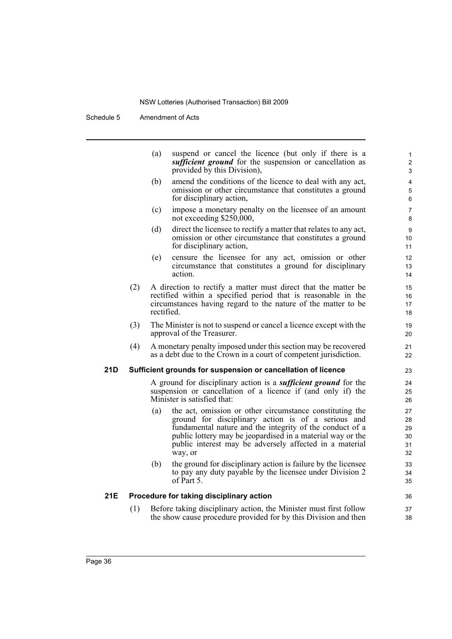Schedule 5 Amendment of Acts

|     |     | (a)        | suspend or cancel the licence (but only if there is a<br><i>sufficient ground</i> for the suspension or cancellation as<br>provided by this Division),                                                                                                                                                         | 1<br>$\overline{2}$<br>3         |
|-----|-----|------------|----------------------------------------------------------------------------------------------------------------------------------------------------------------------------------------------------------------------------------------------------------------------------------------------------------------|----------------------------------|
|     |     | (b)        | amend the conditions of the licence to deal with any act,<br>omission or other circumstance that constitutes a ground<br>for disciplinary action,                                                                                                                                                              | 4<br>5<br>6                      |
|     |     | (c)        | impose a monetary penalty on the licensee of an amount<br>not exceeding \$250,000,                                                                                                                                                                                                                             | $\overline{7}$<br>8              |
|     |     | (d)        | direct the licensee to rectify a matter that relates to any act,<br>omission or other circumstance that constitutes a ground<br>for disciplinary action,                                                                                                                                                       | 9<br>10 <sup>°</sup><br>11       |
|     |     | (e)        | censure the licensee for any act, omission or other<br>circumstance that constitutes a ground for disciplinary<br>action.                                                                                                                                                                                      | 12<br>13<br>14                   |
|     | (2) | rectified. | A direction to rectify a matter must direct that the matter be<br>rectified within a specified period that is reasonable in the<br>circumstances having regard to the nature of the matter to be                                                                                                               | 15<br>16<br>17<br>18             |
|     | (3) |            | The Minister is not to suspend or cancel a licence except with the<br>approval of the Treasurer.                                                                                                                                                                                                               | 19<br>20                         |
|     | (4) |            | A monetary penalty imposed under this section may be recovered<br>as a debt due to the Crown in a court of competent jurisdiction.                                                                                                                                                                             | 21<br>22                         |
| 21D |     |            | Sufficient grounds for suspension or cancellation of licence                                                                                                                                                                                                                                                   | 23                               |
|     |     |            | A ground for disciplinary action is a <i>sufficient ground</i> for the<br>suspension or cancellation of a licence if (and only if) the<br>Minister is satisfied that:                                                                                                                                          | 24<br>25<br>26                   |
|     |     | (a)        | the act, omission or other circumstance constituting the<br>ground for disciplinary action is of a serious and<br>fundamental nature and the integrity of the conduct of a<br>public lottery may be jeopardised in a material way or the<br>public interest may be adversely affected in a material<br>way, or | 27<br>28<br>29<br>30<br>31<br>32 |
|     |     | (b)        | the ground for disciplinary action is failure by the licensee<br>to pay any duty payable by the licensee under Division 2<br>of Part $51$                                                                                                                                                                      | 33<br>34<br>35                   |
| 21E |     |            | Procedure for taking disciplinary action                                                                                                                                                                                                                                                                       | 36                               |
|     | (1) |            | Before taking disciplinary action, the Minister must first follow<br>the show cause procedure provided for by this Division and then                                                                                                                                                                           | 37<br>38                         |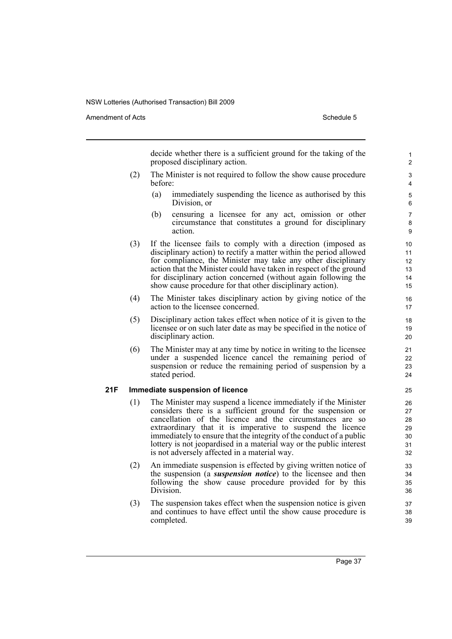Amendment of Acts **Schedule 5** and the set of Acts Schedule 5

decide whether there is a sufficient ground for the taking of the proposed disciplinary action.

- (2) The Minister is not required to follow the show cause procedure before:
	- (a) immediately suspending the licence as authorised by this Division, or
	- (b) censuring a licensee for any act, omission or other circumstance that constitutes a ground for disciplinary action.
- (3) If the licensee fails to comply with a direction (imposed as disciplinary action) to rectify a matter within the period allowed for compliance, the Minister may take any other disciplinary action that the Minister could have taken in respect of the ground for disciplinary action concerned (without again following the show cause procedure for that other disciplinary action).
- (4) The Minister takes disciplinary action by giving notice of the action to the licensee concerned.
- (5) Disciplinary action takes effect when notice of it is given to the licensee or on such later date as may be specified in the notice of disciplinary action.
- (6) The Minister may at any time by notice in writing to the licensee under a suspended licence cancel the remaining period of suspension or reduce the remaining period of suspension by a stated period.

### **21F Immediate suspension of licence**

- (1) The Minister may suspend a licence immediately if the Minister considers there is a sufficient ground for the suspension or cancellation of the licence and the circumstances are so extraordinary that it is imperative to suspend the licence immediately to ensure that the integrity of the conduct of a public lottery is not jeopardised in a material way or the public interest is not adversely affected in a material way.
- (2) An immediate suspension is effected by giving written notice of the suspension (a *suspension notice*) to the licensee and then following the show cause procedure provided for by this Division.
- (3) The suspension takes effect when the suspension notice is given and continues to have effect until the show cause procedure is completed.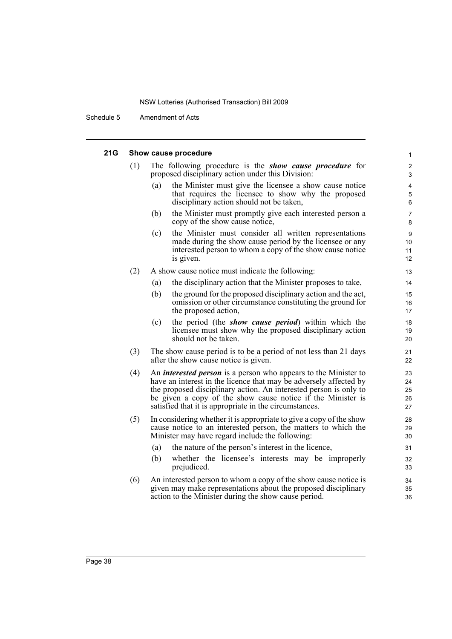Schedule 5 Amendment of Acts

### **21G Show cause procedure**

| '1G | Show cause procedure |     |                                                                                                                                                                                                                                                                                                                                           |                                    |  |  |
|-----|----------------------|-----|-------------------------------------------------------------------------------------------------------------------------------------------------------------------------------------------------------------------------------------------------------------------------------------------------------------------------------------------|------------------------------------|--|--|
|     | (1)                  |     | The following procedure is the <b>show cause procedure</b> for<br>proposed disciplinary action under this Division:                                                                                                                                                                                                                       | $\boldsymbol{2}$<br>3              |  |  |
|     |                      | (a) | the Minister must give the licensee a show cause notice<br>that requires the licensee to show why the proposed<br>disciplinary action should not be taken,                                                                                                                                                                                | $\overline{\mathbf{4}}$<br>5<br>6  |  |  |
|     |                      | (b) | the Minister must promptly give each interested person a<br>copy of the show cause notice,                                                                                                                                                                                                                                                | $\overline{7}$<br>8                |  |  |
|     |                      | (c) | the Minister must consider all written representations<br>made during the show cause period by the licensee or any<br>interested person to whom a copy of the show cause notice<br>is given.                                                                                                                                              | $\boldsymbol{9}$<br>10<br>11<br>12 |  |  |
|     | (2)                  |     | A show cause notice must indicate the following:                                                                                                                                                                                                                                                                                          | 13                                 |  |  |
|     |                      | (a) | the disciplinary action that the Minister proposes to take,                                                                                                                                                                                                                                                                               | 14                                 |  |  |
|     |                      | (b) | the ground for the proposed disciplinary action and the act,<br>omission or other circumstance constituting the ground for<br>the proposed action,                                                                                                                                                                                        | 15<br>16<br>17                     |  |  |
|     |                      | (c) | the period (the <i>show cause period</i> ) within which the<br>licensee must show why the proposed disciplinary action<br>should not be taken.                                                                                                                                                                                            | 18<br>19<br>20                     |  |  |
|     | (3)                  |     | The show cause period is to be a period of not less than 21 days<br>after the show cause notice is given.                                                                                                                                                                                                                                 | 21<br>22                           |  |  |
|     | (4)                  |     | An <i>interested person</i> is a person who appears to the Minister to<br>have an interest in the licence that may be adversely affected by<br>the proposed disciplinary action. An interested person is only to<br>be given a copy of the show cause notice if the Minister is<br>satisfied that it is appropriate in the circumstances. | 23<br>24<br>25<br>26<br>27         |  |  |
|     | (5)                  |     | In considering whether it is appropriate to give a copy of the show<br>cause notice to an interested person, the matters to which the<br>Minister may have regard include the following:                                                                                                                                                  | 28<br>29<br>30                     |  |  |
|     |                      | (a) | the nature of the person's interest in the licence,                                                                                                                                                                                                                                                                                       | 31                                 |  |  |
|     |                      | (b) | whether the licensee's interests may be improperly<br>prejudiced.                                                                                                                                                                                                                                                                         | 32<br>33                           |  |  |
|     | (6)                  |     | An interested person to whom a copy of the show cause notice is<br>given may make representations about the proposed disciplinary<br>action to the Minister during the show cause period.                                                                                                                                                 | 34<br>35<br>36                     |  |  |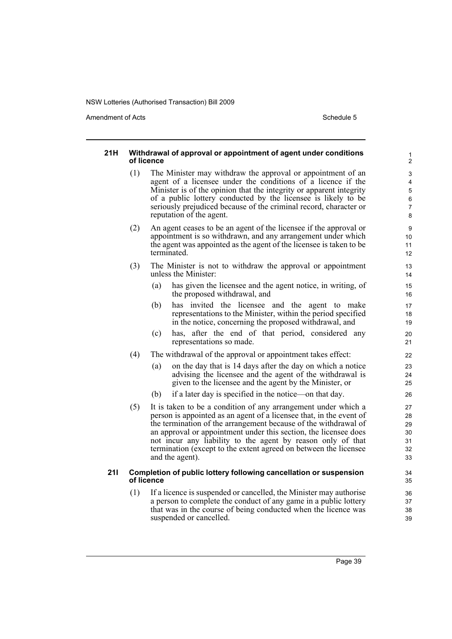Amendment of Acts **Schedule 5** and the set of Acts Schedule 5

#### **21H Withdrawal of approval or appointment of agent under conditions of licence** (1) The Minister may withdraw the approval or appointment of an agent of a licensee under the conditions of a licence if the Minister is of the opinion that the integrity or apparent integrity of a public lottery conducted by the licensee is likely to be seriously prejudiced because of the criminal record, character or reputation of the agent. (2) An agent ceases to be an agent of the licensee if the approval or appointment is so withdrawn, and any arrangement under which the agent was appointed as the agent of the licensee is taken to be terminated. (3) The Minister is not to withdraw the approval or appointment unless the Minister: (a) has given the licensee and the agent notice, in writing, of the proposed withdrawal, and (b) has invited the licensee and the agent to make representations to the Minister, within the period specified in the notice, concerning the proposed withdrawal, and (c) has, after the end of that period, considered any representations so made. (4) The withdrawal of the approval or appointment takes effect: (a) on the day that is 14 days after the day on which a notice advising the licensee and the agent of the withdrawal is given to the licensee and the agent by the Minister, or (b) if a later day is specified in the notice—on that day. (5) It is taken to be a condition of any arrangement under which a person is appointed as an agent of a licensee that, in the event of the termination of the arrangement because of the withdrawal of an approval or appointment under this section, the licensee does not incur any liability to the agent by reason only of that termination (except to the extent agreed on between the licensee and the agent). **21I Completion of public lottery following cancellation or suspension of licence** (1) If a licence is suspended or cancelled, the Minister may authorise a person to complete the conduct of any game in a public lottery that was in the course of being conducted when the licence was suspended or cancelled. 10 11 12 13 14 15 16 17 18 19 20 21 22 23 24 25 26 27 28 29 30 31 32 33 34 35 36 37 38 39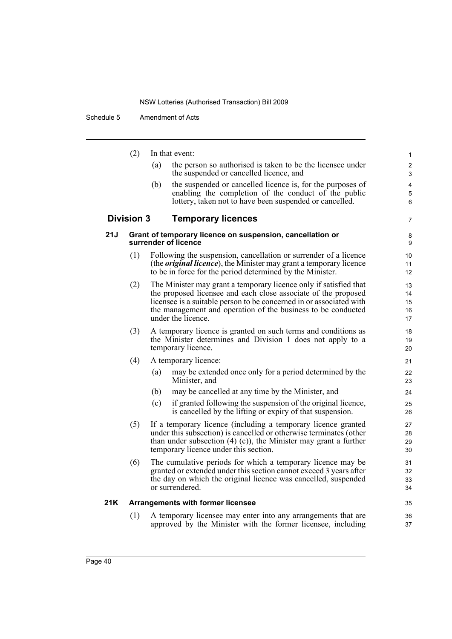Schedule 5 Amendment of Acts

|     | (2)               | In that event:                                                                                                                                 | $\mathbf{1}$    |
|-----|-------------------|------------------------------------------------------------------------------------------------------------------------------------------------|-----------------|
|     |                   | the person so authorised is taken to be the licensee under<br>(a)                                                                              | 2               |
|     |                   | the suspended or cancelled licence, and                                                                                                        | 3               |
|     |                   | the suspended or cancelled licence is, for the purposes of<br>(b)<br>enabling the completion of the conduct of the public                      | 4<br>5          |
|     |                   | lottery, taken not to have been suspended or cancelled.                                                                                        | 6               |
|     | <b>Division 3</b> | <b>Temporary licences</b>                                                                                                                      | $\overline{7}$  |
| 21J |                   | Grant of temporary licence on suspension, cancellation or<br>surrender of licence                                                              | 8<br>9          |
|     | (1)               | Following the suspension, cancellation or surrender of a licence<br>(the <i>original licence</i> ), the Minister may grant a temporary licence | 10<br>11        |
|     |                   | to be in force for the period determined by the Minister.                                                                                      | 12 <sup>2</sup> |
|     | (2)               | The Minister may grant a temporary licence only if satisfied that<br>the proposed licensee and each close associate of the proposed            | 13<br>14        |
|     |                   | licensee is a suitable person to be concerned in or associated with                                                                            | 15              |
|     |                   | the management and operation of the business to be conducted                                                                                   | 16              |
|     |                   | under the licence.                                                                                                                             | 17              |
|     | (3)               | A temporary licence is granted on such terms and conditions as                                                                                 | 18              |
|     |                   | the Minister determines and Division 1 does not apply to a<br>temporary licence.                                                               | 19<br>20        |
|     | (4)               | A temporary licence:                                                                                                                           | 21              |
|     |                   | may be extended once only for a period determined by the<br>(a)<br>Minister, and                                                               | 22<br>23        |
|     |                   | may be cancelled at any time by the Minister, and<br>(b)                                                                                       | 24              |
|     |                   | if granted following the suspension of the original licence,<br>(c)<br>is cancelled by the lifting or expiry of that suspension.               | 25<br>26        |
|     | (5)               | If a temporary licence (including a temporary licence granted                                                                                  | 27              |
|     |                   | under this subsection) is cancelled or otherwise terminates (other                                                                             | 28              |
|     |                   | than under subsection $(4)$ (c)), the Minister may grant a further<br>temporary licence under this section.                                    | 29<br>30        |
|     | (6)               | The cumulative periods for which a temporary licence may be                                                                                    | 31              |
|     |                   | granted or extended under this section cannot exceed 3 years after                                                                             | 32              |
|     |                   | the day on which the original licence was cancelled, suspended<br>or surrendered.                                                              | 33<br>34        |
|     |                   |                                                                                                                                                |                 |
| 21K |                   | <b>Arrangements with former licensee</b>                                                                                                       | 35              |
|     | (1)               | A temporary licensee may enter into any arrangements that are<br>approved by the Minister with the former licensee, including                  | 36<br>37        |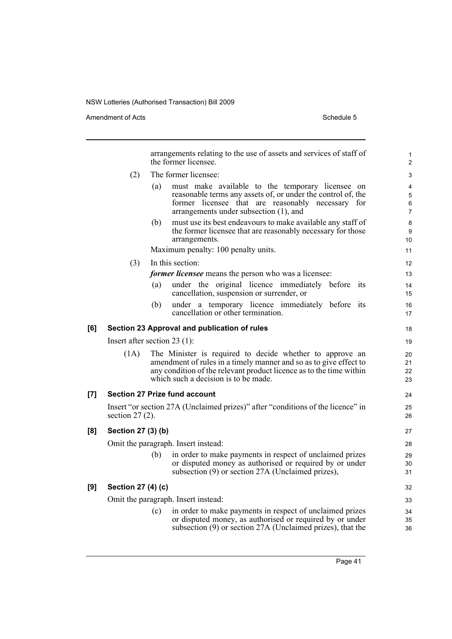Amendment of Acts Schedule 5

|     | arrangements relating to the use of assets and services of staff of<br>the former licensee. |                                                                                                                                                                                                                                              |                               |  |  |
|-----|---------------------------------------------------------------------------------------------|----------------------------------------------------------------------------------------------------------------------------------------------------------------------------------------------------------------------------------------------|-------------------------------|--|--|
|     | (2)                                                                                         | The former licensee:                                                                                                                                                                                                                         | 3                             |  |  |
|     |                                                                                             | must make available to the temporary licensee on<br>(a)<br>reasonable terms any assets of, or under the control of, the<br>former licensee that are reasonably necessary for<br>arrangements under subsection (1), and                       | 4<br>5<br>6<br>$\overline{7}$ |  |  |
|     |                                                                                             | must use its best endeavours to make available any staff of<br>(b)<br>the former licensee that are reasonably necessary for those<br>arrangements.                                                                                           | 8<br>9<br>10 <sup>°</sup>     |  |  |
|     |                                                                                             | Maximum penalty: 100 penalty units.                                                                                                                                                                                                          | 11                            |  |  |
|     | (3)                                                                                         | In this section:                                                                                                                                                                                                                             | 12                            |  |  |
|     |                                                                                             | <i>former licensee</i> means the person who was a licensee:                                                                                                                                                                                  | 13                            |  |  |
|     |                                                                                             | under the original licence immediately before its<br>(a)<br>cancellation, suspension or surrender, or                                                                                                                                        | 14<br>15                      |  |  |
|     |                                                                                             | under a temporary licence immediately before its<br>(b)<br>cancellation or other termination.                                                                                                                                                | 16<br>17                      |  |  |
| [6] |                                                                                             | Section 23 Approval and publication of rules                                                                                                                                                                                                 | 18                            |  |  |
|     |                                                                                             | Insert after section $23$ (1):                                                                                                                                                                                                               | 19                            |  |  |
|     | (1A)                                                                                        | The Minister is required to decide whether to approve an<br>amendment of rules in a timely manner and so as to give effect to<br>any condition of the relevant product licence as to the time within<br>which such a decision is to be made. | 20<br>21<br>22<br>23          |  |  |
| [7] |                                                                                             | <b>Section 27 Prize fund account</b>                                                                                                                                                                                                         | 24                            |  |  |
|     | section $27(2)$ .                                                                           | Insert "or section 27A (Unclaimed prizes)" after "conditions of the licence" in                                                                                                                                                              | 25<br>26                      |  |  |
| [8] | Section 27 (3) (b)                                                                          |                                                                                                                                                                                                                                              | 27                            |  |  |
|     |                                                                                             | Omit the paragraph. Insert instead:                                                                                                                                                                                                          | 28                            |  |  |
|     |                                                                                             | in order to make payments in respect of unclaimed prizes<br>(b)<br>or disputed money as authorised or required by or under<br>subsection (9) or section 27A (Unclaimed prizes),                                                              | 29<br>30<br>31                |  |  |
| [9] | Section 27 (4) (c)                                                                          |                                                                                                                                                                                                                                              | 32                            |  |  |
|     |                                                                                             | Omit the paragraph. Insert instead:                                                                                                                                                                                                          | 33                            |  |  |
|     |                                                                                             | in order to make payments in respect of unclaimed prizes<br>(c)                                                                                                                                                                              | 34                            |  |  |
|     |                                                                                             | or disputed money, as authorised or required by or under<br>subsection (9) or section 27A (Unclaimed prizes), that the                                                                                                                       | 35<br>36                      |  |  |
|     |                                                                                             |                                                                                                                                                                                                                                              |                               |  |  |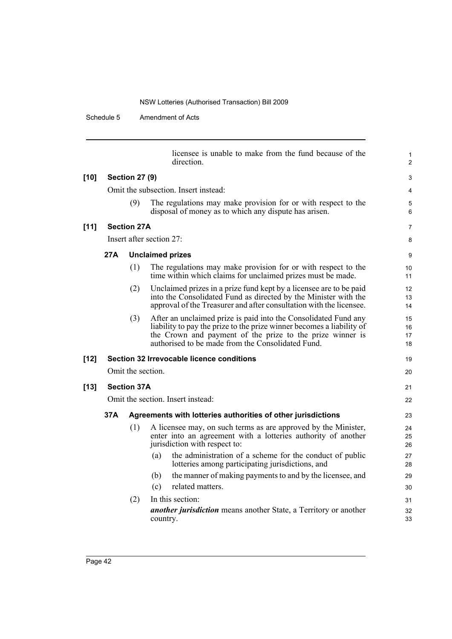Schedule 5 Amendment of Acts

|        |                                      |                       | licensee is unable to make from the fund because of the<br>direction.                                                                                                                                                                                      | 1<br>$\overline{2}$  |  |  |
|--------|--------------------------------------|-----------------------|------------------------------------------------------------------------------------------------------------------------------------------------------------------------------------------------------------------------------------------------------------|----------------------|--|--|
| $[10]$ |                                      | <b>Section 27 (9)</b> |                                                                                                                                                                                                                                                            | 3                    |  |  |
|        | Omit the subsection. Insert instead: |                       |                                                                                                                                                                                                                                                            |                      |  |  |
|        |                                      | (9)                   | The regulations may make provision for or with respect to the<br>disposal of money as to which any dispute has arisen.                                                                                                                                     | 5<br>6               |  |  |
| $[11]$ |                                      | <b>Section 27A</b>    |                                                                                                                                                                                                                                                            | 7                    |  |  |
|        |                                      |                       | Insert after section $27$ :                                                                                                                                                                                                                                | 8                    |  |  |
|        | 27A                                  |                       | <b>Unclaimed prizes</b>                                                                                                                                                                                                                                    | 9                    |  |  |
|        |                                      | (1)                   | The regulations may make provision for or with respect to the<br>time within which claims for unclaimed prizes must be made.                                                                                                                               | 10<br>11             |  |  |
|        |                                      | (2)                   | Unclaimed prizes in a prize fund kept by a licensee are to be paid<br>into the Consolidated Fund as directed by the Minister with the<br>approval of the Treasurer and after consultation with the licensee.                                               | 12<br>13<br>14       |  |  |
|        |                                      | (3)                   | After an unclaimed prize is paid into the Consolidated Fund any<br>liability to pay the prize to the prize winner becomes a liability of<br>the Crown and payment of the prize to the prize winner is<br>authorised to be made from the Consolidated Fund. | 15<br>16<br>17<br>18 |  |  |
| $[12]$ |                                      |                       | Section 32 Irrevocable licence conditions                                                                                                                                                                                                                  | 19                   |  |  |
|        |                                      | Omit the section.     |                                                                                                                                                                                                                                                            | 20                   |  |  |
| $[13]$ |                                      | <b>Section 37A</b>    |                                                                                                                                                                                                                                                            | 21                   |  |  |
|        |                                      |                       | Omit the section. Insert instead:                                                                                                                                                                                                                          | 22                   |  |  |
|        | 37A                                  |                       | Agreements with lotteries authorities of other jurisdictions                                                                                                                                                                                               | 23                   |  |  |
|        |                                      | (1)                   | A licensee may, on such terms as are approved by the Minister,<br>enter into an agreement with a lotteries authority of another<br>jurisdiction with respect to:                                                                                           | 24<br>25<br>26       |  |  |
|        |                                      |                       | the administration of a scheme for the conduct of public<br>(a)<br>lotteries among participating jurisdictions, and                                                                                                                                        | 27<br>28             |  |  |
|        |                                      |                       | the manner of making payments to and by the licensee, and<br>(b)                                                                                                                                                                                           | 29                   |  |  |
|        |                                      |                       | related matters.<br>(c)                                                                                                                                                                                                                                    | 30                   |  |  |
|        |                                      | (2)                   | In this section:                                                                                                                                                                                                                                           | 31                   |  |  |
|        |                                      |                       | <i>another jurisdiction</i> means another State, a Territory or another<br>country.                                                                                                                                                                        | 32<br>33             |  |  |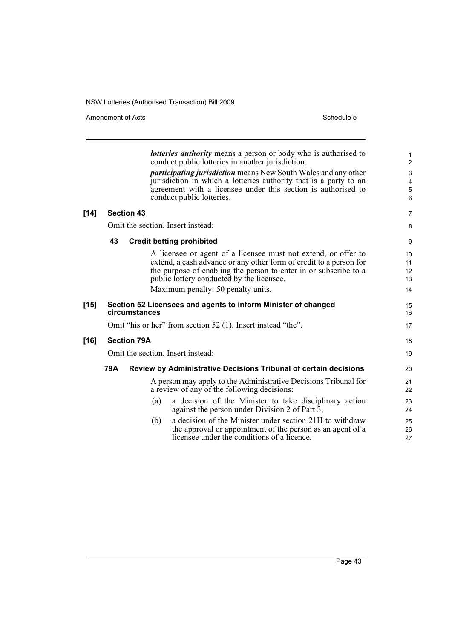Amendment of Acts Schedule 5

 $[14]$ 

**[16]** 

|        |     |                    | <b><i>lotteries authority</i></b> means a person or body who is authorised to<br>conduct public lotteries in another jurisdiction.<br><i>participating jurisdiction</i> means New South Wales and any other<br>jurisdiction in which a lotteries authority that is a party to an<br>agreement with a licensee under this section is authorised to<br>conduct public lotteries. | 1<br>2<br>3<br>4<br>5<br>6 |
|--------|-----|--------------------|--------------------------------------------------------------------------------------------------------------------------------------------------------------------------------------------------------------------------------------------------------------------------------------------------------------------------------------------------------------------------------|----------------------------|
| $[14]$ |     | <b>Section 43</b>  |                                                                                                                                                                                                                                                                                                                                                                                | $\overline{7}$             |
|        |     |                    | Omit the section. Insert instead:                                                                                                                                                                                                                                                                                                                                              | 8                          |
|        | 43  |                    | <b>Credit betting prohibited</b>                                                                                                                                                                                                                                                                                                                                               | 9                          |
|        |     |                    | A licensee or agent of a licensee must not extend, or offer to<br>extend, a cash advance or any other form of credit to a person for<br>the purpose of enabling the person to enter in or subscribe to a<br>public lottery conducted by the licensee.<br>Maximum penalty: 50 penalty units.                                                                                    | 10<br>11<br>12<br>13<br>14 |
| [15]   |     | circumstances      | Section 52 Licensees and agents to inform Minister of changed                                                                                                                                                                                                                                                                                                                  | 15<br>16                   |
|        |     |                    | Omit "his or her" from section 52 (1). Insert instead "the".                                                                                                                                                                                                                                                                                                                   | 17                         |
| [16]   |     | <b>Section 79A</b> |                                                                                                                                                                                                                                                                                                                                                                                | 18                         |
|        |     |                    | Omit the section. Insert instead:                                                                                                                                                                                                                                                                                                                                              | 19                         |
|        | 79A |                    | Review by Administrative Decisions Tribunal of certain decisions                                                                                                                                                                                                                                                                                                               | 20                         |
|        |     |                    | A person may apply to the Administrative Decisions Tribunal for<br>a review of any of the following decisions:                                                                                                                                                                                                                                                                 | 21<br>22                   |
|        |     | (a)                | a decision of the Minister to take disciplinary action<br>against the person under Division 2 of Part 3,                                                                                                                                                                                                                                                                       | 23<br>24                   |
|        |     | (b)                | a decision of the Minister under section 21H to withdraw<br>the approval or appointment of the person as an agent of a<br>licensee under the conditions of a licence.                                                                                                                                                                                                          | 25<br>26<br>27             |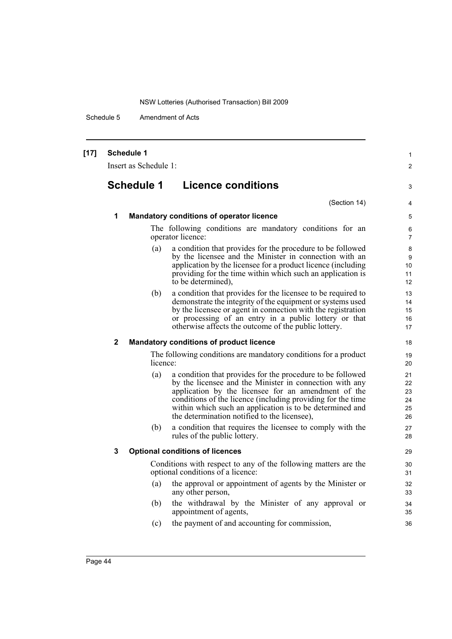Schedule 5 Amendment of Acts

| $[17]$ |              | <b>Schedule 1</b><br>Insert as Schedule 1: |                                                                                                                                                                                                                                                                                                                                                         | 1<br>$\overline{2}$              |
|--------|--------------|--------------------------------------------|---------------------------------------------------------------------------------------------------------------------------------------------------------------------------------------------------------------------------------------------------------------------------------------------------------------------------------------------------------|----------------------------------|
|        |              | <b>Schedule 1</b>                          | <b>Licence conditions</b>                                                                                                                                                                                                                                                                                                                               | 3                                |
|        |              |                                            | (Section 14)                                                                                                                                                                                                                                                                                                                                            | $\overline{4}$                   |
|        | 1            |                                            | <b>Mandatory conditions of operator licence</b>                                                                                                                                                                                                                                                                                                         | 5                                |
|        |              |                                            | The following conditions are mandatory conditions for an<br>operator licence:                                                                                                                                                                                                                                                                           | 6<br>7                           |
|        |              | (a)                                        | a condition that provides for the procedure to be followed<br>by the licensee and the Minister in connection with an<br>application by the licensee for a product licence (including<br>providing for the time within which such an application is<br>to be determined),                                                                                | 8<br>9<br>10<br>11<br>12         |
|        |              | (b)                                        | a condition that provides for the licensee to be required to<br>demonstrate the integrity of the equipment or systems used<br>by the licensee or agent in connection with the registration<br>or processing of an entry in a public lottery or that<br>otherwise affects the outcome of the public lottery.                                             | 13<br>14<br>15<br>16<br>17       |
|        | $\mathbf{2}$ |                                            | <b>Mandatory conditions of product licence</b>                                                                                                                                                                                                                                                                                                          | 18                               |
|        |              | licence:                                   | The following conditions are mandatory conditions for a product                                                                                                                                                                                                                                                                                         | 19<br>20                         |
|        |              | (a)                                        | a condition that provides for the procedure to be followed<br>by the licensee and the Minister in connection with any<br>application by the licensee for an amendment of the<br>conditions of the licence (including providing for the time<br>within which such an application is to be determined and<br>the determination notified to the licensee), | 21<br>22<br>23<br>24<br>25<br>26 |
|        |              | (b)                                        | a condition that requires the licensee to comply with the<br>rules of the public lottery.                                                                                                                                                                                                                                                               | 27<br>28                         |
|        | 3            |                                            | <b>Optional conditions of licences</b>                                                                                                                                                                                                                                                                                                                  | 29                               |
|        |              |                                            | Conditions with respect to any of the following matters are the<br>optional conditions of a licence:                                                                                                                                                                                                                                                    | 30<br>31                         |
|        |              | (a)                                        | the approval or appointment of agents by the Minister or<br>any other person,                                                                                                                                                                                                                                                                           | 32<br>33                         |
|        |              | (b)                                        | the withdrawal by the Minister of any approval or<br>appointment of agents,                                                                                                                                                                                                                                                                             | 34<br>35                         |
|        |              | (c)                                        | the payment of and accounting for commission,                                                                                                                                                                                                                                                                                                           | 36                               |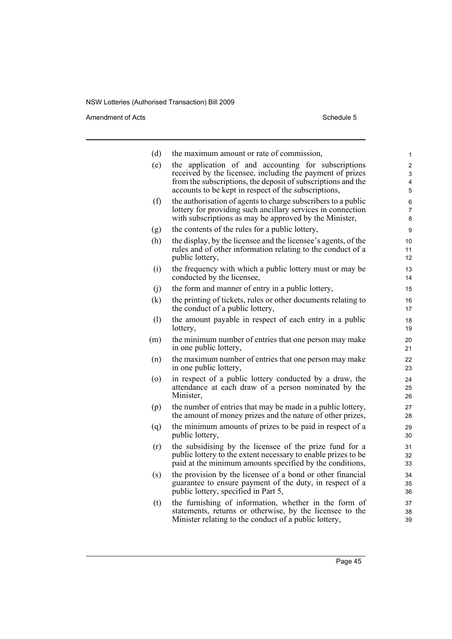Amendment of Acts Schedule 5

| (d) | the maximum amount or rate of commission,                                                                                                                                            | 1                   |
|-----|--------------------------------------------------------------------------------------------------------------------------------------------------------------------------------------|---------------------|
| (e) | the application of and accounting for subscriptions                                                                                                                                  | 2                   |
|     | received by the licensee, including the payment of prizes<br>from the subscriptions, the deposit of subscriptions and the                                                            | 3<br>4              |
|     | accounts to be kept in respect of the subscriptions,                                                                                                                                 | 5                   |
| (f) | the authorisation of agents to charge subscribers to a public<br>lottery for providing such ancillary services in connection                                                         | 6<br>$\overline{7}$ |
|     | with subscriptions as may be approved by the Minister,                                                                                                                               | 8                   |
| (g) | the contents of the rules for a public lottery,                                                                                                                                      | 9                   |
| (h) | the display, by the licensee and the licensee's agents, of the<br>rules and of other information relating to the conduct of a<br>public lottery,                                     | 10<br>11<br>12      |
| (i) | the frequency with which a public lottery must or may be<br>conducted by the licensee,                                                                                               | 13<br>14            |
| (i) | the form and manner of entry in a public lottery,                                                                                                                                    | 15                  |
| (k) | the printing of tickets, rules or other documents relating to<br>the conduct of a public lottery,                                                                                    | 16<br>17            |
| (1) | the amount payable in respect of each entry in a public<br>lottery,                                                                                                                  | 18<br>19            |
| (m) | the minimum number of entries that one person may make<br>in one public lottery,                                                                                                     | 20<br>21            |
| (n) | the maximum number of entries that one person may make<br>in one public lottery,                                                                                                     | 22<br>23            |
| (0) | in respect of a public lottery conducted by a draw, the<br>attendance at each draw of a person nominated by the                                                                      | 24<br>25            |
|     | Minister,                                                                                                                                                                            | 26                  |
| (p) | the number of entries that may be made in a public lottery,<br>the amount of money prizes and the nature of other prizes,                                                            | 27<br>28            |
| (q) | the minimum amounts of prizes to be paid in respect of a<br>public lottery,                                                                                                          | 29<br>30            |
| (r) | the subsidising by the licensee of the prize fund for a<br>public lottery to the extent necessary to enable prizes to be<br>paid at the minimum amounts specified by the conditions, | 31<br>32<br>33      |
| (s) | the provision by the licensee of a bond or other financial<br>guarantee to ensure payment of the duty, in respect of a<br>public lottery, specified in Part 5,                       | 34<br>35<br>36      |
| (t) | the furnishing of information, whether in the form of<br>statements, returns or otherwise, by the licensee to the                                                                    | 37<br>38            |

Minister relating to the conduct of a public lottery,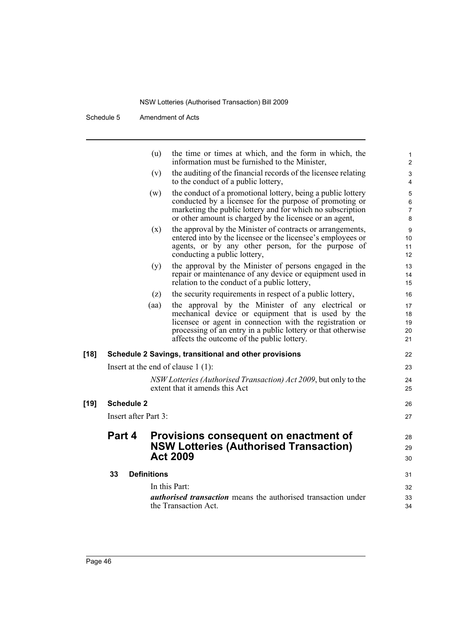Schedule 5 Amendment of Acts

|        |                      | (u)                                   | the time or times at which, and the form in which, the<br>information must be furnished to the Minister,                                                                                                                                                                          | 1<br>$\overline{2}$           |
|--------|----------------------|---------------------------------------|-----------------------------------------------------------------------------------------------------------------------------------------------------------------------------------------------------------------------------------------------------------------------------------|-------------------------------|
|        |                      | (v)                                   | the auditing of the financial records of the licensee relating<br>to the conduct of a public lottery,                                                                                                                                                                             | 3<br>4                        |
|        |                      | (w)                                   | the conduct of a promotional lottery, being a public lottery<br>conducted by a licensee for the purpose of promoting or<br>marketing the public lottery and for which no subscription<br>or other amount is charged by the licensee or an agent,                                  | 5<br>6<br>$\overline{7}$<br>8 |
|        |                      | (x)                                   | the approval by the Minister of contracts or arrangements,<br>entered into by the licensee or the licensee's employees or<br>agents, or by any other person, for the purpose of<br>conducting a public lottery,                                                                   | 9<br>10<br>11<br>12           |
|        |                      | (y)                                   | the approval by the Minister of persons engaged in the<br>repair or maintenance of any device or equipment used in<br>relation to the conduct of a public lottery,                                                                                                                | 13<br>14<br>15                |
|        |                      | (z)                                   | the security requirements in respect of a public lottery,                                                                                                                                                                                                                         | 16                            |
|        |                      | (aa)                                  | the approval by the Minister of any electrical or<br>mechanical device or equipment that is used by the<br>licensee or agent in connection with the registration or<br>processing of an entry in a public lottery or that otherwise<br>affects the outcome of the public lottery. | 17<br>18<br>19<br>20<br>21    |
| $[18]$ |                      |                                       | Schedule 2 Savings, transitional and other provisions                                                                                                                                                                                                                             | 22                            |
|        |                      | Insert at the end of clause $1(1)$ :  |                                                                                                                                                                                                                                                                                   | 23                            |
|        |                      |                                       | NSW Lotteries (Authorised Transaction) Act 2009, but only to the<br>extent that it amends this Act                                                                                                                                                                                | 24<br>25                      |
| $[19]$ | <b>Schedule 2</b>    |                                       |                                                                                                                                                                                                                                                                                   | 26                            |
|        | Insert after Part 3: |                                       |                                                                                                                                                                                                                                                                                   | 27                            |
|        | Part 4               | <b>Act 2009</b>                       | Provisions consequent on enactment of<br><b>NSW Lotteries (Authorised Transaction)</b>                                                                                                                                                                                            | 28<br>29<br>30                |
|        | 33                   | <b>Definitions</b>                    |                                                                                                                                                                                                                                                                                   | 31                            |
|        |                      | In this Part:<br>the Transaction Act. | <i>authorised transaction</i> means the authorised transaction under                                                                                                                                                                                                              | 32<br>33<br>34                |
|        |                      |                                       |                                                                                                                                                                                                                                                                                   |                               |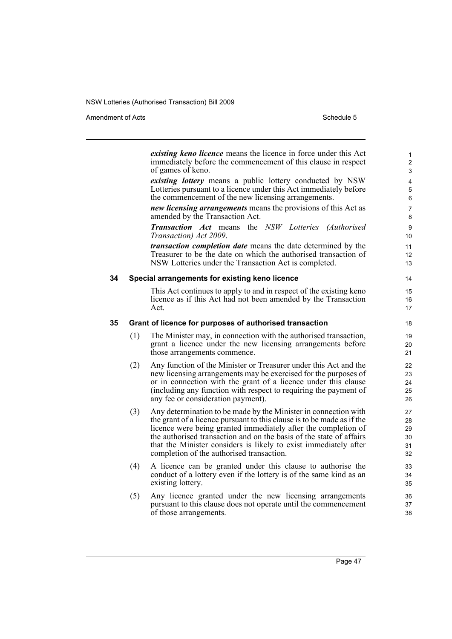Amendment of Acts Schedule 5

|    |     | existing keno licence means the licence in force under this Act<br>immediately before the commencement of this clause in respect<br>of games of keno.                                                                                                                                                                                                                                               | $\mathbf{1}$<br>$\overline{2}$<br>3 |
|----|-----|-----------------------------------------------------------------------------------------------------------------------------------------------------------------------------------------------------------------------------------------------------------------------------------------------------------------------------------------------------------------------------------------------------|-------------------------------------|
|    |     | existing lottery means a public lottery conducted by NSW<br>Lotteries pursuant to a licence under this Act immediately before<br>the commencement of the new licensing arrangements.                                                                                                                                                                                                                | 4<br>5<br>6                         |
|    |     | new licensing arrangements means the provisions of this Act as<br>amended by the Transaction Act.                                                                                                                                                                                                                                                                                                   | 7<br>8                              |
|    |     | <b>Transaction Act</b> means the NSW Lotteries (Authorised<br>Transaction) Act 2009.                                                                                                                                                                                                                                                                                                                | 9<br>10                             |
|    |     | <i>transaction completion date</i> means the date determined by the<br>Treasurer to be the date on which the authorised transaction of<br>NSW Lotteries under the Transaction Act is completed.                                                                                                                                                                                                     | 11<br>12<br>13                      |
| 34 |     | Special arrangements for existing keno licence                                                                                                                                                                                                                                                                                                                                                      | 14                                  |
|    |     | This Act continues to apply to and in respect of the existing kenor-<br>licence as if this Act had not been amended by the Transaction<br>Act.                                                                                                                                                                                                                                                      | 15<br>16<br>17                      |
| 35 |     | Grant of licence for purposes of authorised transaction                                                                                                                                                                                                                                                                                                                                             | 18                                  |
|    | (1) | The Minister may, in connection with the authorised transaction,<br>grant a licence under the new licensing arrangements before<br>those arrangements commence.                                                                                                                                                                                                                                     | 19<br>20<br>21                      |
|    | (2) | Any function of the Minister or Treasurer under this Act and the<br>new licensing arrangements may be exercised for the purposes of<br>or in connection with the grant of a licence under this clause<br>(including any function with respect to requiring the payment of<br>any fee or consideration payment).                                                                                     | 22<br>23<br>24<br>25<br>26          |
|    | (3) | Any determination to be made by the Minister in connection with<br>the grant of a licence pursuant to this clause is to be made as if the<br>licence were being granted immediately after the completion of<br>the authorised transaction and on the basis of the state of affairs<br>that the Minister considers is likely to exist immediately after<br>completion of the authorised transaction. | 27<br>28<br>29<br>30<br>31<br>32    |
|    | (4) | A licence can be granted under this clause to authorise the<br>conduct of a lottery even if the lottery is of the same kind as an<br>existing lottery.                                                                                                                                                                                                                                              | 33<br>34<br>35                      |
|    | (5) | Any licence granted under the new licensing arrangements<br>pursuant to this clause does not operate until the commencement<br>of those arrangements.                                                                                                                                                                                                                                               | 36<br>37<br>38                      |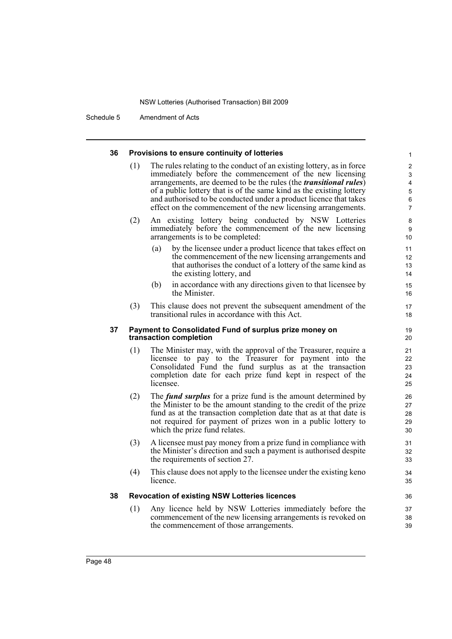Schedule 5 Amendment of Acts

| 36 | Provisions to ensure continuity of lotteries                                     | $\mathbf{1}$                                                                                                                                                                                                                                                                                                                                                                                                                 |                                                                             |
|----|----------------------------------------------------------------------------------|------------------------------------------------------------------------------------------------------------------------------------------------------------------------------------------------------------------------------------------------------------------------------------------------------------------------------------------------------------------------------------------------------------------------------|-----------------------------------------------------------------------------|
|    | (1)                                                                              | The rules relating to the conduct of an existing lottery, as in force<br>immediately before the commencement of the new licensing<br>arrangements, are deemed to be the rules (the <i>transitional rules</i> )<br>of a public lottery that is of the same kind as the existing lottery<br>and authorised to be conducted under a product licence that takes<br>effect on the commencement of the new licensing arrangements. | $\overline{2}$<br>3<br>$\overline{4}$<br>$\mathbf 5$<br>6<br>$\overline{7}$ |
|    | (2)                                                                              | An existing lottery being conducted by NSW Lotteries<br>immediately before the commencement of the new licensing<br>arrangements is to be completed:                                                                                                                                                                                                                                                                         | 8<br>9<br>10 <sup>1</sup>                                                   |
|    |                                                                                  | by the licensee under a product licence that takes effect on<br>(a)<br>the commencement of the new licensing arrangements and<br>that authorises the conduct of a lottery of the same kind as<br>the existing lottery, and                                                                                                                                                                                                   | 11<br>12<br>13<br>14                                                        |
|    |                                                                                  | in accordance with any directions given to that licensee by<br>(b)<br>the Minister.                                                                                                                                                                                                                                                                                                                                          | 15<br>16                                                                    |
|    | (3)                                                                              | This clause does not prevent the subsequent amendment of the<br>transitional rules in accordance with this Act.                                                                                                                                                                                                                                                                                                              | 17<br>18                                                                    |
| 37 | Payment to Consolidated Fund of surplus prize money on<br>transaction completion | 19<br>20                                                                                                                                                                                                                                                                                                                                                                                                                     |                                                                             |
|    | (1)                                                                              | The Minister may, with the approval of the Treasurer, require a<br>licensee to pay to the Treasurer for payment into the<br>Consolidated Fund the fund surplus as at the transaction<br>completion date for each prize fund kept in respect of the<br>licensee.                                                                                                                                                              | 21<br>22<br>23<br>24<br>25                                                  |
|    | (2)                                                                              | The <i>fund surplus</i> for a prize fund is the amount determined by<br>the Minister to be the amount standing to the credit of the prize<br>fund as at the transaction completion date that as at that date is<br>not required for payment of prizes won in a public lottery to<br>which the prize fund relates.                                                                                                            | 26<br>27<br>28<br>29<br>30                                                  |
|    | (3)                                                                              | A licensee must pay money from a prize fund in compliance with<br>the Minister's direction and such a payment is authorised despite<br>the requirements of section 27.                                                                                                                                                                                                                                                       | 31<br>32<br>33                                                              |
|    | (4)                                                                              | This clause does not apply to the licensee under the existing keno<br>licence.                                                                                                                                                                                                                                                                                                                                               | 34<br>35                                                                    |
| 38 | <b>Revocation of existing NSW Lotteries licences</b>                             | 36                                                                                                                                                                                                                                                                                                                                                                                                                           |                                                                             |
|    | (1)                                                                              | Any licence held by NSW Lotteries immediately before the<br>commencement of the new licensing arrangements is revoked on<br>the commencement of those arrangements.                                                                                                                                                                                                                                                          | 37<br>38<br>39                                                              |